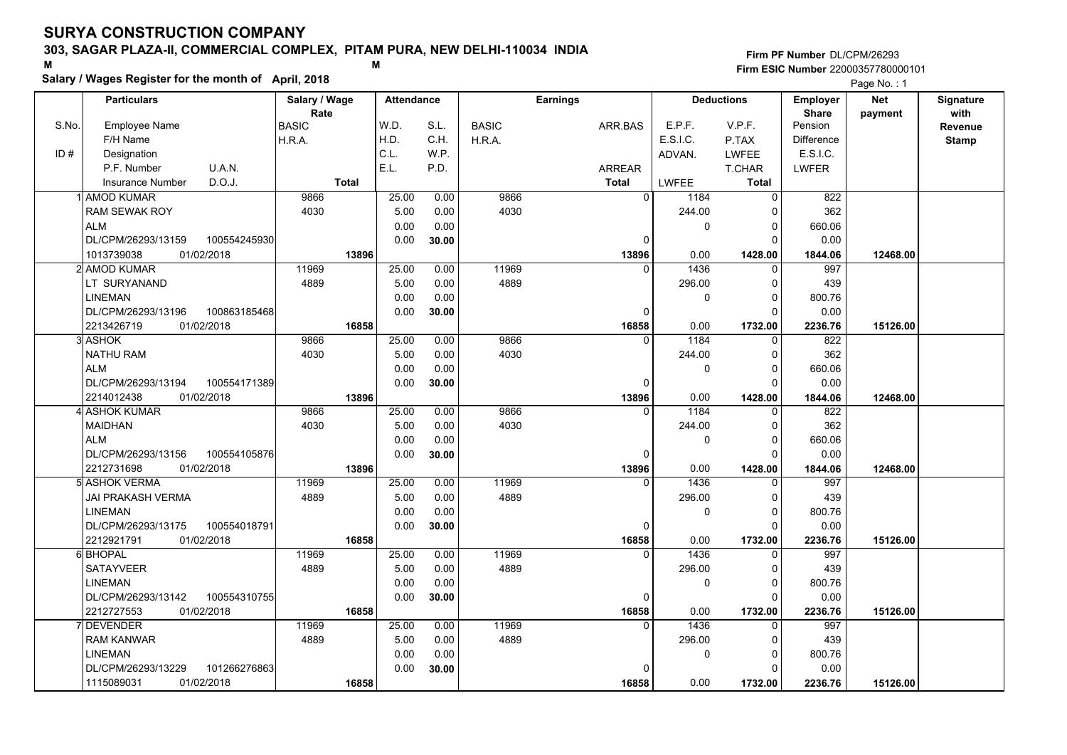### **303, SAGAR PLAZA-II, COMMERCIAL COMPLEX, PITAM PURA, NEW DELHI-110034 INDIA**

**Salary / Wages Register for the month of April, 2018 <sup>M</sup> <sup>M</sup>**

**Firm PF Number**DL/CPM/26293**Firm ESIC Number** 22000357780000101

|       | <b>Particulars</b>                 | Salary / Wage        | <b>Attendance</b> |       |              | Earnings       |              | <b>Deductions</b> | Employer                | <b>Net</b> | <b>Signature</b> |
|-------|------------------------------------|----------------------|-------------------|-------|--------------|----------------|--------------|-------------------|-------------------------|------------|------------------|
| S.No. | <b>Employee Name</b>               | Rate<br><b>BASIC</b> | W.D.              | S.L.  | <b>BASIC</b> | ARR.BAS        | E.P.F.       | V.P.F.            | <b>Share</b><br>Pension | payment    | with<br>Revenue  |
|       | F/H Name                           | H.R.A.               | H.D.              | C.H.  | H.R.A.       |                | E.S.I.C.     | P.TAX             | <b>Difference</b>       |            | <b>Stamp</b>     |
| ID#   | Designation                        |                      | C.L.              | W.P.  |              |                | ADVAN.       | LWFEE             | E.S.I.C.                |            |                  |
|       | U.A.N.<br>P.F. Number              |                      | E.L.              | P.D.  |              | ARREAR         |              | T.CHAR            | <b>LWFER</b>            |            |                  |
|       | D.O.J.<br><b>Insurance Number</b>  | <b>Total</b>         |                   |       |              | <b>Total</b>   | <b>LWFEE</b> | <b>Total</b>      |                         |            |                  |
|       | <b>AMOD KUMAR</b>                  | 9866                 | 25.00             | 0.00  | 9866         | $\overline{0}$ | 1184         | 0                 | 822                     |            |                  |
|       | RAM SEWAK ROY                      | 4030                 | 5.00              | 0.00  | 4030         |                | 244.00       | 0                 | 362                     |            |                  |
|       | <b>ALM</b>                         |                      | 0.00              | 0.00  |              |                | 0            | $\Omega$          | 660.06                  |            |                  |
|       | DL/CPM/26293/13159<br>100554245930 |                      | 0.00              | 30.00 |              | $\Omega$       |              | $\Omega$          | 0.00                    |            |                  |
|       | 01/02/2018<br>1013739038           | 13896                |                   |       |              | 13896          | 0.00         | 1428.00           | 1844.06                 | 12468.00   |                  |
|       | 2 AMOD KUMAR                       | 11969                | 25.00             | 0.00  | 11969        | $\Omega$       | 1436         | $\mathbf 0$       | 997                     |            |                  |
|       | LT SURYANAND                       | 4889                 | 5.00              | 0.00  | 4889         |                | 296.00       | 0                 | 439                     |            |                  |
|       | <b>LINEMAN</b>                     |                      | 0.00              | 0.00  |              |                | 0            | $\Omega$          | 800.76                  |            |                  |
|       | DL/CPM/26293/13196<br>100863185468 |                      | 0.00              | 30.00 |              | 0              |              | $\Omega$          | 0.00                    |            |                  |
|       | 01/02/2018<br>2213426719           | 16858                |                   |       |              | 16858          | 0.00         | 1732.00           | 2236.76                 | 15126.00   |                  |
|       | 3 ASHOK                            | 9866                 | 25.00             | 0.00  | 9866         | $\mathbf{0}$   | 1184         | 0                 | $\overline{822}$        |            |                  |
|       | <b>NATHU RAM</b>                   | 4030                 | 5.00              | 0.00  | 4030         |                | 244.00       | $\Omega$          | 362                     |            |                  |
|       | <b>ALM</b>                         |                      | 0.00              | 0.00  |              |                | 0            | $\Omega$          | 660.06                  |            |                  |
|       | DL/CPM/26293/13194<br>100554171389 |                      | 0.00              | 30.00 |              | $\Omega$       |              | $\Omega$          | 0.00                    |            |                  |
|       | 2214012438<br>01/02/2018           | 13896                |                   |       |              | 13896          | 0.00         | 1428.00           | 1844.06                 | 12468.00   |                  |
|       | 4 ASHOK KUMAR                      | 9866                 | 25.00             | 0.00  | 9866         | $\mathbf{0}$   | 1184         | $\mathbf 0$       | 822                     |            |                  |
|       | <b>MAIDHAN</b>                     | 4030                 | 5.00              | 0.00  | 4030         |                | 244.00       | $\mathbf 0$       | 362                     |            |                  |
|       | <b>ALM</b>                         |                      | 0.00              | 0.00  |              |                | 0            | $\Omega$          | 660.06                  |            |                  |
|       | DL/CPM/26293/13156<br>100554105876 |                      | 0.00              | 30.00 |              | 0              |              | $\Omega$          | 0.00                    |            |                  |
|       | 2212731698<br>01/02/2018           | 13896                |                   |       |              | 13896          | 0.00         | 1428.00           | 1844.06                 | 12468.00   |                  |
|       | 5 ASHOK VERMA                      | 11969                | 25.00             | 0.00  | 11969        | $\Omega$       | 1436         | 0                 | 997                     |            |                  |
|       | JAI PRAKASH VERMA                  | 4889                 | 5.00              | 0.00  | 4889         |                | 296.00       | $\Omega$          | 439                     |            |                  |
|       | <b>LINEMAN</b>                     |                      | 0.00              | 0.00  |              |                | 0            | $\mathbf 0$       | 800.76                  |            |                  |
|       | DL/CPM/26293/13175<br>100554018791 |                      | 0.00              | 30.00 |              | $\mathbf{0}$   |              | $\Omega$          | 0.00                    |            |                  |
|       | 2212921791<br>01/02/2018           | 16858                |                   |       |              | 16858          | 0.00         | 1732.00           | 2236.76                 | 15126.00   |                  |
|       | 6 BHOPAL                           | 11969                | 25.00             | 0.00  | 11969        | $\Omega$       | 1436         | $\Omega$          | 997                     |            |                  |
|       | <b>SATAYVEER</b>                   | 4889                 | 5.00              | 0.00  | 4889         |                | 296.00       | 0                 | 439                     |            |                  |
|       | <b>LINEMAN</b>                     |                      | 0.00              | 0.00  |              |                | 0            | $\Omega$          | 800.76                  |            |                  |
|       | DL/CPM/26293/13142<br>100554310755 |                      | 0.00              | 30.00 |              | 0              |              | $\Omega$          | 0.00                    |            |                  |
|       | 2212727553<br>01/02/2018           | 16858                |                   |       |              | 16858          | 0.00         | 1732.00           | 2236.76                 | 15126.00   |                  |
|       | <b>DEVENDER</b>                    | 11969                | 25.00             | 0.00  | 11969        | 0              | 1436         | 0                 | 997                     |            |                  |
|       | <b>RAM KANWAR</b>                  | 4889                 | 5.00              | 0.00  | 4889         |                | 296.00       | $\Omega$          | 439                     |            |                  |
|       | <b>LINEMAN</b>                     |                      | 0.00              | 0.00  |              |                | 0            | $\Omega$          | 800.76                  |            |                  |
|       | DL/CPM/26293/13229<br>101266276863 |                      | 0.00              | 30.00 |              | $\Omega$       |              | $\Omega$          | 0.00                    |            |                  |
|       | 01/02/2018<br>1115089031           | 16858                |                   |       |              | 16858          | 0.00         | 1732.00           | 2236.76                 | 15126.00   |                  |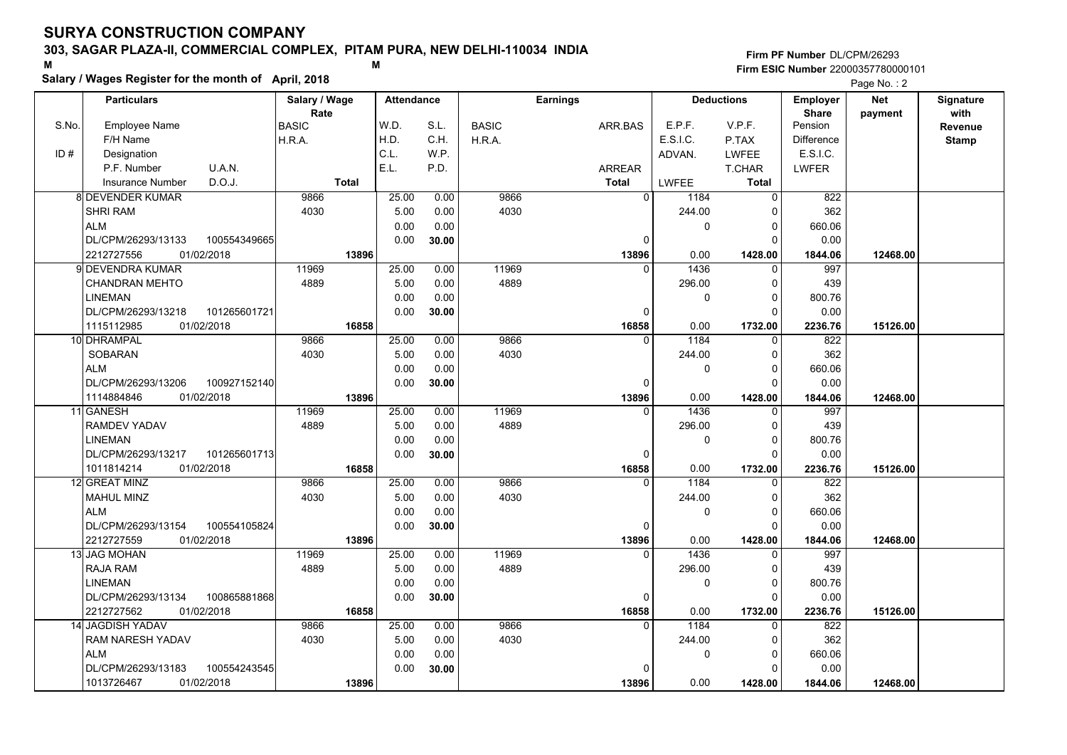### **303, SAGAR PLAZA-II, COMMERCIAL COMPLEX, PITAM PURA, NEW DELHI-110034 INDIA**

**Salary / Wages Register for the month of April, 2018 <sup>M</sup> <sup>M</sup>**

**Firm PF Number**DL/CPM/26293**Firm ESIC Number** 22000357780000101

|       | <b>Particulars</b>       |              | Salary / Wage        |              | <b>Attendance</b> |       |              | <b>Earnings</b> |                        | <b>Deductions</b> | Employer                | <b>Net</b> | Signature       |
|-------|--------------------------|--------------|----------------------|--------------|-------------------|-------|--------------|-----------------|------------------------|-------------------|-------------------------|------------|-----------------|
| S.No. | <b>Employee Name</b>     |              | Rate<br><b>BASIC</b> |              | W.D.              | S.L.  | <b>BASIC</b> | ARR.BAS         | E.P.F.                 | V.P.F.            | <b>Share</b><br>Pension | payment    | with<br>Revenue |
|       | F/H Name                 |              | H.R.A.               |              | H.D.              | C.H.  | H.R.A.       |                 | E.S.I.C.               | P.TAX             | <b>Difference</b>       |            | <b>Stamp</b>    |
| ID#   | Designation              |              |                      |              | C.L.              | W.P.  |              |                 | ADVAN.                 | <b>LWFEE</b>      | E.S.I.C.                |            |                 |
|       | P.F. Number              | U.A.N.       |                      |              | E.L.              | P.D.  |              | ARREAR          |                        | T.CHAR            | <b>LWFER</b>            |            |                 |
|       | <b>Insurance Number</b>  | D.O.J.       |                      | <b>Total</b> |                   |       |              | <b>Total</b>    | LWFEE                  | <b>Total</b>      |                         |            |                 |
|       | <b>8 DEVENDER KUMAR</b>  |              | 9866                 |              | 25.00             | 0.00  | 9866         |                 | $\overline{0}$<br>1184 | 0                 | 822                     |            |                 |
|       | <b>SHRI RAM</b>          |              | 4030                 |              | 5.00              | 0.00  | 4030         |                 | 244.00                 | $\Omega$          | 362                     |            |                 |
|       | <b>ALM</b>               |              |                      |              | 0.00              | 0.00  |              |                 | 0                      | 0                 | 660.06                  |            |                 |
|       | DL/CPM/26293/13133       | 100554349665 |                      |              | 0.00              | 30.00 |              |                 | 0                      | $\Omega$          | 0.00                    |            |                 |
|       | 2212727556<br>01/02/2018 |              |                      | 13896        |                   |       |              | 13896           | 0.00                   | 1428.00           | 1844.06                 | 12468.00   |                 |
|       | 9l DEVENDRA KUMAR        |              | 11969                |              | 25.00             | 0.00  | 11969        |                 | 1436<br>$\Omega$       | $\mathbf 0$       | 997                     |            |                 |
|       | <b>CHANDRAN MEHTO</b>    |              | 4889                 |              | 5.00              | 0.00  | 4889         |                 | 296.00                 | 0                 | 439                     |            |                 |
|       | <b>LINEMAN</b>           |              |                      |              | 0.00              | 0.00  |              |                 | 0                      | $\mathbf 0$       | 800.76                  |            |                 |
|       | DL/CPM/26293/13218       | 101265601721 |                      |              | 0.00              | 30.00 |              |                 | 0                      | $\Omega$          | 0.00                    |            |                 |
|       | 01/02/2018<br>1115112985 |              |                      | 16858        |                   |       |              | 16858           | 0.00                   | 1732.00           | 2236.76                 | 15126.00   |                 |
|       | 10 DHRAMPAL              |              | 9866                 |              | 25.00             | 0.00  | 9866         |                 | 1184<br>$\Omega$       | $\mathbf 0$       | 822                     |            |                 |
|       | SOBARAN                  |              | 4030                 |              | 5.00              | 0.00  | 4030         |                 | 244.00                 | 0                 | 362                     |            |                 |
|       | <b>ALM</b>               |              |                      |              | 0.00              | 0.00  |              |                 | 0                      | $\mathbf 0$       | 660.06                  |            |                 |
|       | DL/CPM/26293/13206       | 100927152140 |                      |              | 0.00              | 30.00 |              |                 | $\Omega$               | $\Omega$          | 0.00                    |            |                 |
|       | 01/02/2018<br>1114884846 |              |                      | 13896        |                   |       |              | 13896           | 0.00                   | 1428.00           | 1844.06                 | 12468.00   |                 |
|       | 11 GANESH                |              | 11969                |              | 25.00             | 0.00  | 11969        |                 | 1436                   | 0                 | 997                     |            |                 |
|       | <b>RAMDEV YADAV</b>      |              | 4889                 |              | 5.00              | 0.00  | 4889         |                 | 296.00                 | 0                 | 439                     |            |                 |
|       | <b>LINEMAN</b>           |              |                      |              | 0.00              | 0.00  |              |                 | 0                      | $\mathbf 0$       | 800.76                  |            |                 |
|       | DL/CPM/26293/13217       | 101265601713 |                      |              | 0.00              | 30.00 |              |                 | $\Omega$               | $\Omega$          | 0.00                    |            |                 |
|       | 1011814214<br>01/02/2018 |              |                      | 16858        |                   |       |              | 16858           | 0.00                   | 1732.00           | 2236.76                 | 15126.00   |                 |
|       | 12 GREAT MINZ            |              | 9866                 |              | 25.00             | 0.00  | 9866         |                 | 1184<br>$\Omega$       | $\Omega$          | 822                     |            |                 |
|       | <b>MAHUL MINZ</b>        |              | 4030                 |              | 5.00              | 0.00  | 4030         |                 | 244.00                 | $\mathbf 0$       | 362                     |            |                 |
|       | <b>ALM</b>               |              |                      |              | 0.00              | 0.00  |              |                 | 0                      | $\mathbf 0$       | 660.06                  |            |                 |
|       | DL/CPM/26293/13154       | 100554105824 |                      |              | 0.00              | 30.00 |              |                 | 0                      | $\mathbf 0$       | 0.00                    |            |                 |
|       | 2212727559<br>01/02/2018 |              |                      | 13896        |                   |       |              | 13896           | 0.00                   | 1428.00           | 1844.06                 | 12468.00   |                 |
|       | 13 JAG MOHAN             |              | 11969                |              | 25.00             | 0.00  | 11969        |                 | 1436<br>$\Omega$       | $\mathbf 0$       | 997                     |            |                 |
|       | <b>RAJA RAM</b>          |              | 4889                 |              | 5.00              | 0.00  | 4889         |                 | 296.00                 | 0                 | 439                     |            |                 |
|       | <b>LINEMAN</b>           |              |                      |              | 0.00              | 0.00  |              |                 | 0                      | $\mathbf 0$       | 800.76                  |            |                 |
|       | DL/CPM/26293/13134       | 100865881868 |                      |              | 0.00              | 30.00 |              |                 | 0                      | $\Omega$          | 0.00                    |            |                 |
|       | 2212727562<br>01/02/2018 |              |                      | 16858        |                   |       |              | 16858           | 0.00                   | 1732.00           | 2236.76                 | 15126.00   |                 |
|       | 14 JAGDISH YADAV         |              | 9866                 |              | 25.00             | 0.00  | 9866         |                 | 1184<br>$\Omega$       | $\Omega$          | 822                     |            |                 |
|       | RAM NARESH YADAV         |              | 4030                 |              | 5.00              | 0.00  | 4030         |                 | 244.00                 | 0                 | 362                     |            |                 |
|       | <b>ALM</b>               |              |                      |              | 0.00              | 0.00  |              |                 | 0                      | $\mathbf 0$       | 660.06                  |            |                 |
|       | DL/CPM/26293/13183       | 100554243545 |                      |              | 0.00              | 30.00 |              |                 | <sup>0</sup>           | $\Omega$          | 0.00                    |            |                 |
|       | 01/02/2018<br>1013726467 |              |                      | 13896        |                   |       |              | 13896           | 0.00                   | 1428.00           | 1844.06                 | 12468.00   |                 |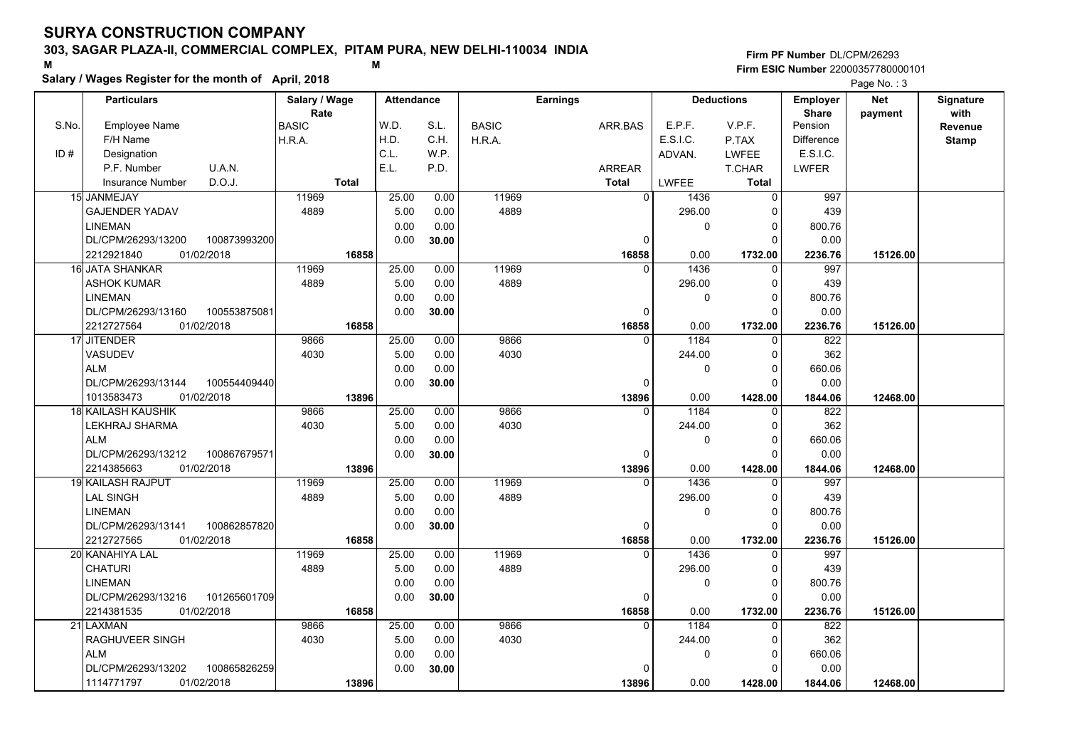### **303, SAGAR PLAZA-II, COMMERCIAL COMPLEX, PITAM PURA, NEW DELHI-110034 INDIA**

**Salary / Wages Register for the month of April, 2018 <sup>M</sup> <sup>M</sup>**

**Firm PF Number**DL/CPM/26293**Firm ESIC Number** 22000357780000101

|       | <b>Particulars</b>                 | Salary / Wage          | <b>Attendance</b> |       |              | <b>Earnings</b> |          | <b>Deductions</b> | <b>Employer</b>         | <b>Net</b> | Signature    |
|-------|------------------------------------|------------------------|-------------------|-------|--------------|-----------------|----------|-------------------|-------------------------|------------|--------------|
| S.No. | <b>Employee Name</b>               | Rate                   | W.D.              | S.L.  | <b>BASIC</b> |                 | E.P.F.   | V.P.F.            | <b>Share</b><br>Pension | payment    | with         |
|       | F/H Name                           | <b>BASIC</b><br>H.R.A. | H.D.              | C.H.  | H.R.A.       | ARR.BAS         | E.S.I.C. | P.TAX             | <b>Difference</b>       |            | Revenue      |
| ID#   | Designation                        |                        | C.L.              | W.P.  |              |                 | ADVAN.   | <b>LWFEE</b>      | E.S.I.C.                |            | <b>Stamp</b> |
|       | U.A.N.<br>P.F. Number              |                        | E.L.              | P.D.  |              | <b>ARREAR</b>   |          | T.CHAR            | <b>LWFER</b>            |            |              |
|       | D.O.J.<br><b>Insurance Number</b>  | <b>Total</b>           |                   |       |              | <b>Total</b>    | LWFEE    | <b>Total</b>      |                         |            |              |
|       |                                    | 11969                  |                   |       | 11969        | $\overline{0}$  |          |                   | 997                     |            |              |
|       | 15 JANMEJAY                        |                        | 25.00             | 0.00  |              |                 | 1436     | $\mathbf 0$       |                         |            |              |
|       | <b>GAJENDER YADAV</b>              | 4889                   | 5.00              | 0.00  | 4889         |                 | 296.00   | 0                 | 439                     |            |              |
|       | <b>LINEMAN</b>                     |                        | 0.00              | 0.00  |              | $\Omega$        | 0        | 0<br>$\Omega$     | 800.76                  |            |              |
|       | DL/CPM/26293/13200<br>100873993200 |                        | 0.00              | 30.00 |              |                 |          |                   | 0.00                    |            |              |
|       | 2212921840<br>01/02/2018           | 16858                  |                   |       |              | 16858           | 0.00     | 1732.00           | 2236.76                 | 15126.00   |              |
|       | 16 JATA SHANKAR                    | 11969                  | 25.00             | 0.00  | 11969        | $\Omega$        | 1436     | 0                 | 997                     |            |              |
|       | <b>ASHOK KUMAR</b>                 | 4889                   | 5.00              | 0.00  | 4889         |                 | 296.00   | 0                 | 439                     |            |              |
|       | LINEMAN                            |                        | 0.00              | 0.00  |              |                 | 0        | $\mathbf 0$       | 800.76                  |            |              |
|       | DL/CPM/26293/13160<br>100553875081 |                        | 0.00              | 30.00 |              | O               |          | $\Omega$          | 0.00                    |            |              |
|       | 2212727564<br>01/02/2018           | 16858                  |                   |       |              | 16858           | 0.00     | 1732.00           | 2236.76                 | 15126.00   |              |
|       | 17 JITENDER                        | 9866                   | 25.00             | 0.00  | 9866         | <sup>0</sup>    | 1184     | $\Omega$          | 822                     |            |              |
|       | VASUDEV                            | 4030                   | 5.00              | 0.00  | 4030         |                 | 244.00   | 0                 | 362                     |            |              |
|       | <b>ALM</b>                         |                        | 0.00              | 0.00  |              |                 | 0        | $\Omega$          | 660.06                  |            |              |
|       | DL/CPM/26293/13144<br>100554409440 |                        | 0.00              | 30.00 |              | O               |          | $\Omega$          | 0.00                    |            |              |
|       | 1013583473<br>01/02/2018           | 13896                  |                   |       |              | 13896           | 0.00     | 1428.00           | 1844.06                 | 12468.00   |              |
|       | <b>18 KAILASH KAUSHIK</b>          | 9866                   | 25.00             | 0.00  | 9866         | $\Omega$        | 1184     | 0                 | 822                     |            |              |
|       | LEKHRAJ SHARMA                     | 4030                   | 5.00              | 0.00  | 4030         |                 | 244.00   | 0                 | 362                     |            |              |
|       | <b>ALM</b>                         |                        | 0.00              | 0.00  |              |                 | 0        | $\Omega$          | 660.06                  |            |              |
|       | DL/CPM/26293/13212<br>100867679571 |                        | 0.00              | 30.00 |              | O               |          | $\Omega$          | 0.00                    |            |              |
|       | 2214385663<br>01/02/2018           | 13896                  |                   |       |              | 13896           | 0.00     | 1428.00           | 1844.06                 | 12468.00   |              |
|       | <b>19 KAILASH RAJPUT</b>           | 11969                  | 25.00             | 0.00  | 11969        | $\Omega$        | 1436     | $\Omega$          | 997                     |            |              |
|       | <b>LAL SINGH</b>                   | 4889                   | 5.00              | 0.00  | 4889         |                 | 296.00   | 0                 | 439                     |            |              |
|       | <b>LINEMAN</b>                     |                        | 0.00              | 0.00  |              |                 | 0        | $\mathbf 0$       | 800.76                  |            |              |
|       | DL/CPM/26293/13141<br>100862857820 |                        | 0.00              | 30.00 |              | 0               |          | 0                 | 0.00                    |            |              |
|       | 2212727565<br>01/02/2018           | 16858                  |                   |       |              | 16858           | 0.00     | 1732.00           | 2236.76                 | 15126.00   |              |
|       | 20 KANAHIYA LAL                    | 11969                  | 25.00             | 0.00  | 11969        | $\Omega$        | 1436     | $\Omega$          | 997                     |            |              |
|       | <b>CHATURI</b>                     | 4889                   | 5.00              | 0.00  | 4889         |                 | 296.00   | 0                 | 439                     |            |              |
|       | <b>LINEMAN</b>                     |                        | 0.00              | 0.00  |              |                 | 0        | $\mathbf 0$       | 800.76                  |            |              |
|       | 101265601709<br>DL/CPM/26293/13216 |                        | 0.00              | 30.00 |              | 0               |          | $\Omega$          | 0.00                    |            |              |
|       | 2214381535<br>01/02/2018           | 16858                  |                   |       |              | 16858           | 0.00     | 1732.00           | 2236.76                 | 15126.00   |              |
|       | 21 LAXMAN                          | 9866                   | 25.00             | 0.00  | 9866         | $\Omega$        | 1184     | $\Omega$          | 822                     |            |              |
|       | RAGHUVEER SINGH                    | 4030                   | 5.00              | 0.00  | 4030         |                 | 244.00   | 0                 | 362                     |            |              |
|       | <b>ALM</b>                         |                        | 0.00              | 0.00  |              |                 | 0        | 0                 | 660.06                  |            |              |
|       | 100865826259<br>DL/CPM/26293/13202 |                        | 0.00              | 30.00 |              |                 |          | $\Omega$          | 0.00                    |            |              |
|       | 01/02/2018<br>1114771797           | 13896                  |                   |       |              | 13896           | 0.00     | 1428.00           | 1844.06                 | 12468.00   |              |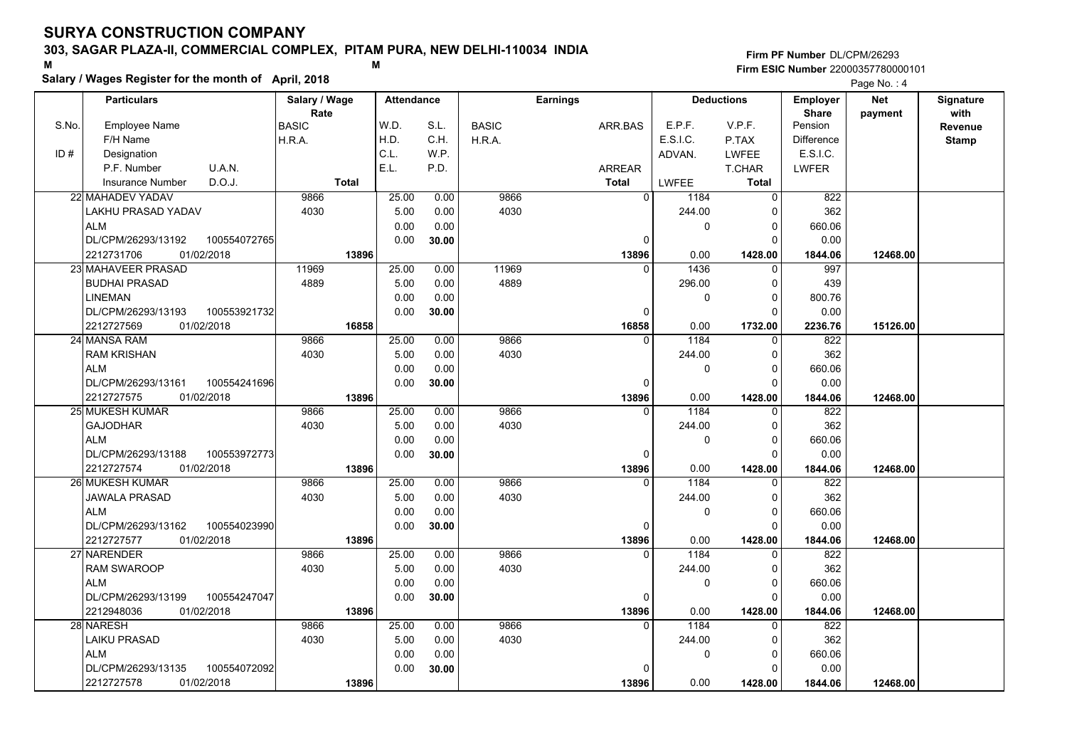### **303, SAGAR PLAZA-II, COMMERCIAL COMPLEX, PITAM PURA, NEW DELHI-110034 INDIA**

**Salary / Wages Register for the month of April, 2018 <sup>M</sup> <sup>M</sup>**

#### **Firm PF Number**DL/CPM/26293**Firm ESIC Number** 22000357780000101

|       | <b>Particulars</b>            |              | Salary / Wage        |              | <b>Attendance</b> |       |              | <b>Earnings</b> |                        | <b>Deductions</b> | <b>Employer</b>         | <b>Net</b> | Signature       |
|-------|-------------------------------|--------------|----------------------|--------------|-------------------|-------|--------------|-----------------|------------------------|-------------------|-------------------------|------------|-----------------|
| S.No. | <b>Employee Name</b>          |              | Rate<br><b>BASIC</b> |              | W.D.              | S.L.  | <b>BASIC</b> | ARR.BAS         | E.P.F.                 | V.P.F.            | <b>Share</b><br>Pension | payment    | with<br>Revenue |
|       | F/H Name                      |              | H.R.A.               |              | H.D.              | C.H.  | H.R.A.       |                 | E.S.I.C.               | P.TAX             | <b>Difference</b>       |            | <b>Stamp</b>    |
| ID#   | Designation                   |              |                      |              | C.L.              | WP.   |              |                 | ADVAN.                 | LWFEE             | E.S.I.C.                |            |                 |
|       | P.F. Number                   | U.A.N.       |                      |              | E.L.              | P.D.  |              | <b>ARREAR</b>   |                        | T.CHAR            | <b>LWFER</b>            |            |                 |
|       | <b>Insurance Number</b>       | D.O.J.       |                      | <b>Total</b> |                   |       |              | <b>Total</b>    | LWFEE                  | <b>Total</b>      |                         |            |                 |
|       | 22 MAHADEV YADAV              |              | 9866                 |              | 25.00             | 0.00  | 9866         |                 | $\overline{0}$<br>1184 | $\Omega$          | 822                     |            |                 |
|       | LAKHU PRASAD YADAV            |              | 4030                 |              | 5.00              | 0.00  | 4030         |                 | 244.00                 | $\Omega$          | 362                     |            |                 |
|       | <b>ALM</b>                    |              |                      |              | 0.00              | 0.00  |              |                 |                        | 0<br>$\mathbf 0$  | 660.06                  |            |                 |
|       | DL/CPM/26293/13192            | 100554072765 |                      |              | 0.00              | 30.00 |              |                 | 0                      | $\Omega$          | 0.00                    |            |                 |
|       | 2212731706<br>01/02/2018      |              |                      | 13896        |                   |       |              | 13896           | 0.00                   | 1428.00           | 1844.06                 | 12468.00   |                 |
|       | 23 MAHAVEER PRASAD            |              | 11969                |              | 25.00             | 0.00  | 11969        |                 | 1436<br>$\Omega$       | $\Omega$          | 997                     |            |                 |
|       | <b>BUDHAI PRASAD</b>          |              | 4889                 |              | 5.00              | 0.00  | 4889         |                 | 296.00                 | $\mathbf 0$       | 439                     |            |                 |
|       | <b>LINEMAN</b>                |              |                      |              | 0.00              | 0.00  |              |                 |                        | 0<br>$\Omega$     | 800.76                  |            |                 |
|       | DL/CPM/26293/13193            | 100553921732 |                      |              | 0.00              | 30.00 |              |                 | 0                      | $\Omega$          | 0.00                    |            |                 |
|       | 2212727569<br>01/02/2018      |              |                      | 16858        |                   |       |              | 16858           | 0.00                   | 1732.00           | 2236.76                 | 15126.00   |                 |
|       | 24 MANSA RAM                  |              | 9866                 |              | 25.00             | 0.00  | 9866         |                 | 1184<br>$\Omega$       | $\Omega$          | 822                     |            |                 |
|       | <b>RAM KRISHAN</b>            |              | 4030                 |              | 5.00              | 0.00  | 4030         |                 | 244.00                 | $\mathbf 0$       | 362                     |            |                 |
|       | <b>ALM</b>                    |              |                      |              | 0.00              | 0.00  |              |                 |                        | $\Omega$<br>0     | 660.06                  |            |                 |
|       | DL/CPM/26293/13161            | 100554241696 |                      |              | 0.00              | 30.00 |              |                 | 0                      | $\Omega$          | 0.00                    |            |                 |
|       | 01/02/2018                    |              |                      | 13896        |                   |       |              | 13896           | 0.00                   | 1428.00           | 1844.06                 | 12468.00   |                 |
|       | 2212727575<br>25 MUKESH KUMAR |              | 9866                 |              | 25.00             | 0.00  | 9866         |                 | 1184<br>0              | 0                 | 822                     |            |                 |
|       | <b>GAJODHAR</b>               |              | 4030                 |              | 5.00              | 0.00  | 4030         |                 | 244.00                 | $\Omega$          | 362                     |            |                 |
|       | <b>ALM</b>                    |              |                      |              | 0.00              | 0.00  |              |                 |                        | 0<br>$\Omega$     | 660.06                  |            |                 |
|       | DL/CPM/26293/13188            | 100553972773 |                      |              | 0.00              | 30.00 |              |                 | 0                      | $\Omega$          | 0.00                    |            |                 |
|       | 2212727574<br>01/02/2018      |              |                      | 13896        |                   |       |              | 13896           | 0.00                   | 1428.00           | 1844.06                 | 12468.00   |                 |
|       | 26 MUKESH KUMAR               |              | 9866                 |              | 25.00             | 0.00  | 9866         |                 | 1184<br>$\Omega$       | $\Omega$          | 822                     |            |                 |
|       | JAWALA PRASAD                 |              | 4030                 |              | 5.00              | 0.00  | 4030         |                 | 244.00                 | 0                 | 362                     |            |                 |
|       | <b>ALM</b>                    |              |                      |              | 0.00              | 0.00  |              |                 |                        | 0<br>$\mathbf 0$  | 660.06                  |            |                 |
|       | DL/CPM/26293/13162            | 100554023990 |                      |              | 0.00              | 30.00 |              |                 | 0                      | $\Omega$          | 0.00                    |            |                 |
|       | 01/02/2018<br>2212727577      |              |                      | 13896        |                   |       |              | 13896           | 0.00                   | 1428.00           | 1844.06                 | 12468.00   |                 |
|       | 27 NARENDER                   |              | 9866                 |              | 25.00             | 0.00  | 9866         |                 | 1184<br>$\Omega$       | $\Omega$          | 822                     |            |                 |
|       | <b>RAM SWAROOP</b>            |              | 4030                 |              | 5.00              | 0.00  | 4030         |                 | 244.00                 | 0                 | 362                     |            |                 |
|       | <b>ALM</b>                    |              |                      |              | 0.00              | 0.00  |              |                 |                        | 0<br>0            | 660.06                  |            |                 |
|       | DL/CPM/26293/13199            | 100554247047 |                      |              | 0.00              | 30.00 |              |                 | $\Omega$               | $\Omega$          | 0.00                    |            |                 |
|       | 2212948036<br>01/02/2018      |              |                      | 13896        |                   |       |              | 13896           | 0.00                   | 1428.00           | 1844.06                 | 12468.00   |                 |
|       | 28 NARESH                     |              | 9866                 |              | 25.00             | 0.00  | 9866         |                 | 1184<br>$\Omega$       | $\Omega$          | 822                     |            |                 |
|       | <b>LAIKU PRASAD</b>           |              | 4030                 |              | 5.00              | 0.00  | 4030         |                 | 244.00                 | 0                 | 362                     |            |                 |
|       | <b>ALM</b>                    |              |                      |              | 0.00              | 0.00  |              |                 |                        | 0<br>0            | 660.06                  |            |                 |
|       | DL/CPM/26293/13135            | 100554072092 |                      |              | 0.00              | 30.00 |              |                 | 0                      | $\Omega$          | 0.00                    |            |                 |
|       | 2212727578<br>01/02/2018      |              |                      | 13896        |                   |       |              | 13896           | 0.00                   | 1428.00           | 1844.06                 | 12468.00   |                 |
|       |                               |              |                      |              |                   |       |              |                 |                        |                   |                         |            |                 |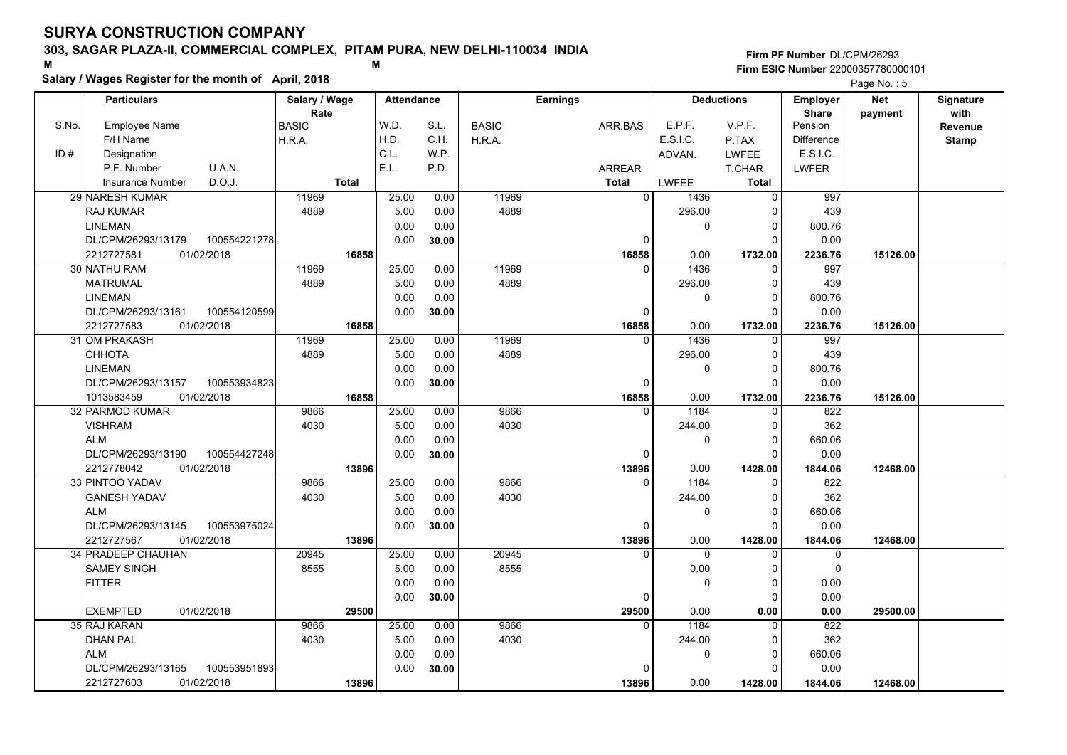### **303, SAGAR PLAZA-II, COMMERCIAL COMPLEX, PITAM PURA, NEW DELHI-110034 INDIA**

**Salary / Wages Register for the month of April, 2018 <sup>M</sup> <sup>M</sup>**

**Firm PF Number**DL/CPM/26293**Firm ESIC Number** 22000357780000101

|       | <b>Particulars</b>                          | Salary / Wage        |                | <b>Attendance</b> |              | <b>Earnings</b>   |              | <b>Deductions</b>   | Employer                | <b>Net</b> | Signature       |
|-------|---------------------------------------------|----------------------|----------------|-------------------|--------------|-------------------|--------------|---------------------|-------------------------|------------|-----------------|
| S.No. | <b>Employee Name</b>                        | Rate<br><b>BASIC</b> | W.D.           | S.L.              | <b>BASIC</b> | ARR.BAS           | E.P.F.       | V.P.F.              | <b>Share</b><br>Pension | payment    | with<br>Revenue |
|       | F/H Name                                    | H.R.A.               | H.D.           | C.H.              | H.R.A.       |                   | E.S.I.C.     | P.TAX               | <b>Difference</b>       |            | <b>Stamp</b>    |
| ID#   | Designation                                 |                      | C.L.           | W.P.              |              |                   | ADVAN.       | <b>LWFEE</b>        | E.S.I.C.                |            |                 |
|       | U.A.N.<br>P.F. Number                       |                      | E.L.           | P.D.              |              | ARREAR            |              | T.CHAR              | <b>LWFER</b>            |            |                 |
|       | D.O.J.<br><b>Insurance Number</b>           | <b>Total</b>         |                |                   |              | <b>Total</b>      | <b>LWFEE</b> | <b>Total</b>        |                         |            |                 |
|       | 29 NARESH KUMAR                             | 11969                | 25.00          | 0.00              | 11969        | $\overline{0}$    | 1436         | $\mathbf 0$         | 997                     |            |                 |
|       | RAJ KUMAR                                   | 4889                 | 5.00           | 0.00              | 4889         |                   | 296.00       | 0                   | 439                     |            |                 |
|       | <b>LINEMAN</b>                              |                      | 0.00           | 0.00              |              |                   | 0            | 0                   | 800.76                  |            |                 |
|       | 100554221278<br>DL/CPM/26293/13179          |                      | 0.00           | 30.00             |              | 0                 |              | $\Omega$            | 0.00                    |            |                 |
|       | 2212727581<br>01/02/2018                    | 16858                |                |                   |              | 16858             | 0.00         | 1732.00             | 2236.76                 | 15126.00   |                 |
|       | 30 NATHU RAM                                | 11969                | 25.00          | 0.00              | 11969        | $\Omega$          | 1436         | $\mathbf 0$         | 997                     |            |                 |
|       | <b>MATRUMAL</b>                             | 4889                 | 5.00           | 0.00              | 4889         |                   | 296.00       | 0                   | 439                     |            |                 |
|       | <b>LINEMAN</b>                              |                      | 0.00           | 0.00              |              |                   | 0            | $\mathbf 0$         | 800.76                  |            |                 |
|       | DL/CPM/26293/13161<br>100554120599          |                      | 0.00           | 30.00             |              | $\Omega$          |              | $\Omega$            | 0.00                    |            |                 |
|       | 2212727583<br>01/02/2018                    |                      | 16858          |                   |              | 16858             | 0.00         | 1732.00             | 2236.76                 | 15126.00   |                 |
|       | 31 OM PRAKASH                               | 11969                | 25.00          | 0.00              | 11969        | $\Omega$          | 1436         | $\mathbf 0$         | 997                     |            |                 |
|       | <b>CHHOTA</b>                               | 4889                 | 5.00           | 0.00              | 4889         |                   | 296.00       | $\mathbf 0$         | 439                     |            |                 |
|       | <b>LINEMAN</b>                              |                      | 0.00           | 0.00              |              |                   | 0            | $\mathbf 0$         | 800.76                  |            |                 |
|       | DL/CPM/26293/13157<br>100553934823          |                      | 0.00           | 30.00             |              | $\Omega$          |              | $\Omega$            | 0.00                    |            |                 |
|       | 01/02/2018<br>1013583459                    |                      | 16858          |                   |              | 16858             | 0.00         | 1732.00             | 2236.76                 | 15126.00   |                 |
|       | 32 PARMOD KUMAR                             | 9866                 | 25.00          | 0.00              | 9866         | $\Omega$          | 1184         | 0                   | 822                     |            |                 |
|       | <b>VISHRAM</b>                              | 4030                 | 5.00           | 0.00              | 4030         |                   | 244.00       | $\mathbf 0$         | 362                     |            |                 |
|       | <b>ALM</b>                                  |                      | 0.00           | 0.00              |              |                   | 0            | $\mathbf 0$         | 660.06                  |            |                 |
|       | 100554427248<br>DL/CPM/26293/13190          |                      | 0.00           | 30.00             |              | $\Omega$          |              | $\Omega$            | 0.00                    |            |                 |
|       | 2212778042<br>01/02/2018<br>33 PINTOO YADAV | 9866                 | 13896<br>25.00 |                   | 9866         | 13896<br>$\Omega$ | 0.00<br>1184 | 1428.00<br>$\Omega$ | 1844.06                 | 12468.00   |                 |
|       |                                             |                      | 5.00           | 0.00              | 4030         |                   |              |                     | 822<br>362              |            |                 |
|       | <b>GANESH YADAV</b><br><b>ALM</b>           | 4030                 |                | 0.00              |              |                   | 244.00       | 0<br>$\mathbf 0$    |                         |            |                 |
|       | DL/CPM/26293/13145<br>100553975024          |                      | 0.00<br>0.00   | 0.00<br>30.00     |              | 0                 | 0            | $\mathbf 0$         | 660.06<br>0.00          |            |                 |
|       | 01/02/2018<br>2212727567                    |                      | 13896          |                   |              | 13896             | 0.00         | 1428.00             | 1844.06                 | 12468.00   |                 |
|       | 34 PRADEEP CHAUHAN                          | 20945                | 25.00          | 0.00              | 20945        | $\Omega$          | $\Omega$     | $\Omega$            | 0                       |            |                 |
|       | <b>SAMEY SINGH</b>                          | 8555                 | 5.00           | 0.00              | 8555         |                   | 0.00         | $\mathbf 0$         | $\mathbf 0$             |            |                 |
|       | <b>FITTER</b>                               |                      | 0.00           | 0.00              |              |                   | 0            | $\mathbf 0$         | 0.00                    |            |                 |
|       |                                             |                      | 0.00           | 30.00             |              | 0                 |              | $\mathbf 0$         | 0.00                    |            |                 |
|       | <b>EXEMPTED</b><br>01/02/2018               | 29500                |                |                   |              | 29500             | 0.00         | 0.00                | 0.00                    | 29500.00   |                 |
|       | 35 RAJ KARAN                                | 9866                 | 25.00          | 0.00              | 9866         | $\Omega$          | 1184         | $\mathbf 0$         | 822                     |            |                 |
|       | <b>DHAN PAL</b>                             | 4030                 | 5.00           | 0.00              | 4030         |                   | 244.00       | 0                   | 362                     |            |                 |
|       | <b>ALM</b>                                  |                      | 0.00           | 0.00              |              |                   | 0            | $\mathbf 0$         | 660.06                  |            |                 |
|       | DL/CPM/26293/13165<br>100553951893          |                      | 0.00           | 30.00             |              | <sup>0</sup>      |              | $\Omega$            | 0.00                    |            |                 |
|       | 2212727603<br>01/02/2018                    |                      | 13896          |                   |              | 13896             | 0.00         | 1428.00             | 1844.06                 | 12468.00   |                 |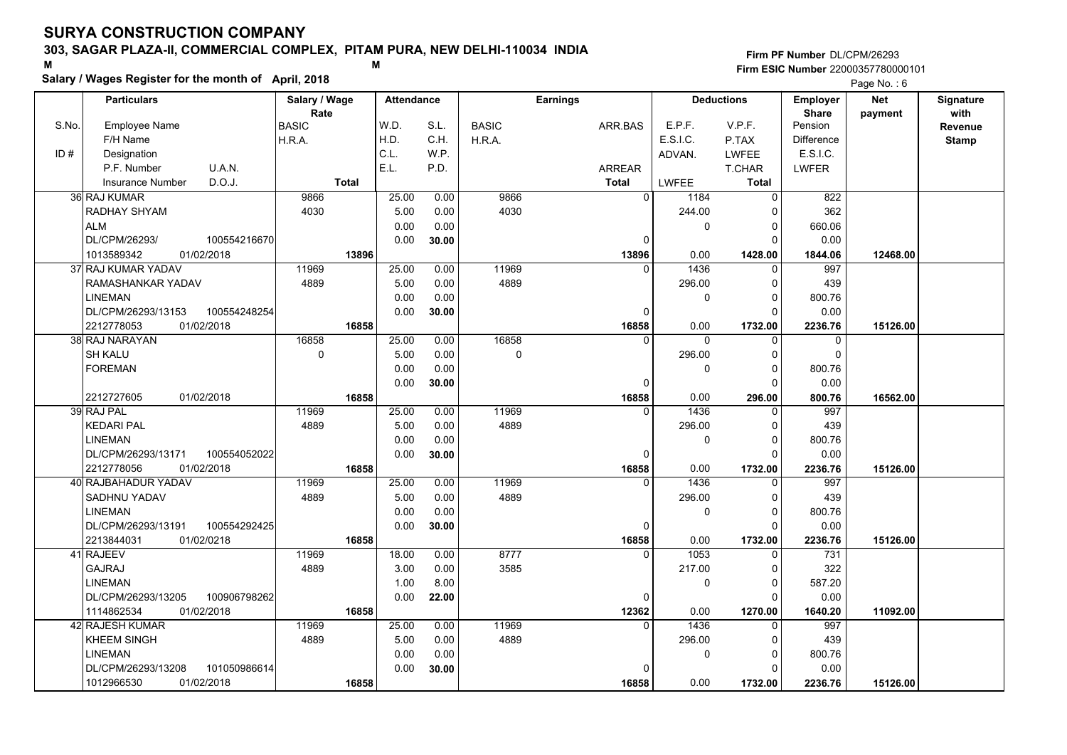### **303, SAGAR PLAZA-II, COMMERCIAL COMPLEX, PITAM PURA, NEW DELHI-110034 INDIA**

**Salary / Wages Register for the month of April, 2018 <sup>M</sup> <sup>M</sup>**

#### **Firm PF Number**DL/CPM/26293**Firm ESIC Number** 22000357780000101

|       | <b>Particulars</b>                 | Salary / Wage        | <b>Attendance</b> |       |              | <b>Earnings</b> |             | <b>Deductions</b> | <b>Employer</b>         | <b>Net</b> | Signature       |
|-------|------------------------------------|----------------------|-------------------|-------|--------------|-----------------|-------------|-------------------|-------------------------|------------|-----------------|
| S.No. | Employee Name                      | Rate<br><b>BASIC</b> | W.D.              | S.L.  | <b>BASIC</b> | ARR.BAS         | E.P.F.      | V.P.F.            | <b>Share</b><br>Pension | payment    | with<br>Revenue |
|       | F/H Name                           | H.R.A.               | H.D.              | C.H.  | H.R.A.       |                 | E.S.I.C.    | P.TAX             | <b>Difference</b>       |            | <b>Stamp</b>    |
| ID#   | Designation                        |                      | C.L.              | W.P.  |              |                 | ADVAN.      | LWFEE             | E.S.I.C.                |            |                 |
|       | U.A.N.<br>P.F. Number              |                      | E.L.              | P.D.  |              | <b>ARREAR</b>   |             | T.CHAR            | <b>LWFER</b>            |            |                 |
|       | D.O.J.<br><b>Insurance Number</b>  | <b>Total</b>         |                   |       |              | <b>Total</b>    | LWFEE       | <b>Total</b>      |                         |            |                 |
|       | 36 RAJ KUMAR                       | 9866                 | 25.00             | 0.00  | 9866         | $\Omega$        | 1184        | $\Omega$          | 822                     |            |                 |
|       | RADHAY SHYAM                       | 4030                 | 5.00              | 0.00  | 4030         |                 | 244.00      |                   | 362                     |            |                 |
|       | <b>ALM</b>                         |                      | 0.00              | 0.00  |              |                 | 0           | 0                 | 660.06                  |            |                 |
|       | DL/CPM/26293/<br>100554216670      |                      | 0.00              | 30.00 |              | 0               |             |                   | 0.00                    |            |                 |
|       | 1013589342<br>01/02/2018           | 13896                |                   |       |              | 13896           | 0.00        | 1428.00           | 1844.06                 | 12468.00   |                 |
|       | 37 RAJ KUMAR YADAV                 | 11969                | 25.00             | 0.00  | 11969        | $\Omega$        | 1436        | $\Omega$          | 997                     |            |                 |
|       | RAMASHANKAR YADAV                  | 4889                 | 5.00              | 0.00  | 4889         |                 | 296.00      | $\Omega$          | 439                     |            |                 |
|       | <b>LINEMAN</b>                     |                      | 0.00              | 0.00  |              |                 | 0           | $\Omega$          | 800.76                  |            |                 |
|       | DL/CPM/26293/13153<br>100554248254 |                      | 0.00              | 30.00 |              | 0               |             | $\Omega$          | 0.00                    |            |                 |
|       | 2212778053<br>01/02/2018           | 16858                |                   |       |              | 16858           | 0.00        | 1732.00           | 2236.76                 | 15126.00   |                 |
|       | 38 RAJ NARAYAN                     | 16858                | 25.00             | 0.00  | 16858        | $\Omega$        | $\Omega$    | $\Omega$          | $\mathbf 0$             |            |                 |
|       | <b>SH KALU</b>                     | $\mathbf 0$          | 5.00              | 0.00  | $\mathbf 0$  |                 | 296.00      | $\Omega$          | $\Omega$                |            |                 |
|       | <b>FOREMAN</b>                     |                      | 0.00              | 0.00  |              |                 | 0           | $\Omega$          | 800.76                  |            |                 |
|       |                                    |                      | 0.00              |       |              | $\Omega$        |             |                   | 0.00                    |            |                 |
|       | 2212727605<br>01/02/2018           | 16858                |                   | 30.00 |              | 16858           | 0.00        | 296.00            | 800.76                  | 16562.00   |                 |
|       | 39 RAJ PAL                         | 11969                | 25.00             | 0.00  | 11969        | $\Omega$        | 1436        |                   | 997                     |            |                 |
|       | <b>KEDARI PAL</b>                  | 4889                 | 5.00              | 0.00  | 4889         |                 | 296.00      | $\Omega$          | 439                     |            |                 |
|       | <b>LINEMAN</b>                     |                      | 0.00              | 0.00  |              |                 | $\mathbf 0$ | $\Omega$          | 800.76                  |            |                 |
|       | DL/CPM/26293/13171<br>100554052022 |                      | 0.00              | 30.00 |              | $\Omega$        |             | $\Omega$          | 0.00                    |            |                 |
|       | 2212778056<br>01/02/2018           | 16858                |                   |       |              | 16858           | 0.00        | 1732.00           | 2236.76                 |            |                 |
|       | 40 RAJBAHADUR YADAV                | 11969                | 25.00             | 0.00  | 11969        | $\Omega$        | 1436        |                   | 997                     | 15126.00   |                 |
|       | SADHNU YADAV                       | 4889                 | 5.00              | 0.00  | 4889         |                 | 296.00      |                   | 439                     |            |                 |
|       | <b>LINEMAN</b>                     |                      | 0.00              | 0.00  |              |                 | $\pmb{0}$   | $\Omega$          | 800.76                  |            |                 |
|       | 100554292425<br>DL/CPM/26293/13191 |                      | 0.00              | 30.00 |              | 0               |             | $\Omega$          | 0.00                    |            |                 |
|       | 2213844031<br>01/02/0218           | 16858                |                   |       |              | 16858           | 0.00        | 1732.00           | 2236.76                 | 15126.00   |                 |
|       | 41 RAJEEV                          | 11969                | 18.00             | 0.00  | 8777         | $\Omega$        | 1053        | $\Omega$          | 731                     |            |                 |
|       | GAJRAJ                             | 4889                 | 3.00              | 0.00  | 3585         |                 | 217.00      | $\Omega$          | 322                     |            |                 |
|       | <b>LINEMAN</b>                     |                      | 1.00              | 8.00  |              |                 | $\pmb{0}$   | $\Omega$          | 587.20                  |            |                 |
|       | DL/CPM/26293/13205<br>100906798262 |                      | 0.00              | 22.00 |              | 0               |             | ∩                 | 0.00                    |            |                 |
|       | 1114862534<br>01/02/2018           | 16858                |                   |       |              | 12362           | 0.00        | 1270.00           | 1640.20                 | 11092.00   |                 |
|       | 42 RAJESH KUMAR                    | 11969                | 25.00             | 0.00  | 11969        | $\Omega$        | 1436        | $\Omega$          | 997                     |            |                 |
|       | <b>KHEEM SINGH</b>                 | 4889                 | 5.00              | 0.00  | 4889         |                 | 296.00      | 0                 | 439                     |            |                 |
|       | <b>LINEMAN</b>                     |                      | 0.00              | 0.00  |              |                 | 0           | $\Omega$          |                         |            |                 |
|       | DL/CPM/26293/13208<br>101050986614 |                      | 0.00              | 30.00 |              |                 |             | n                 | 800.76<br>0.00          |            |                 |
|       | 01/02/2018                         |                      |                   |       |              |                 | 0.00        |                   |                         |            |                 |
|       | 1012966530                         | 16858                |                   |       |              | 16858           |             | 1732.00           | 2236.76                 | 15126.00   |                 |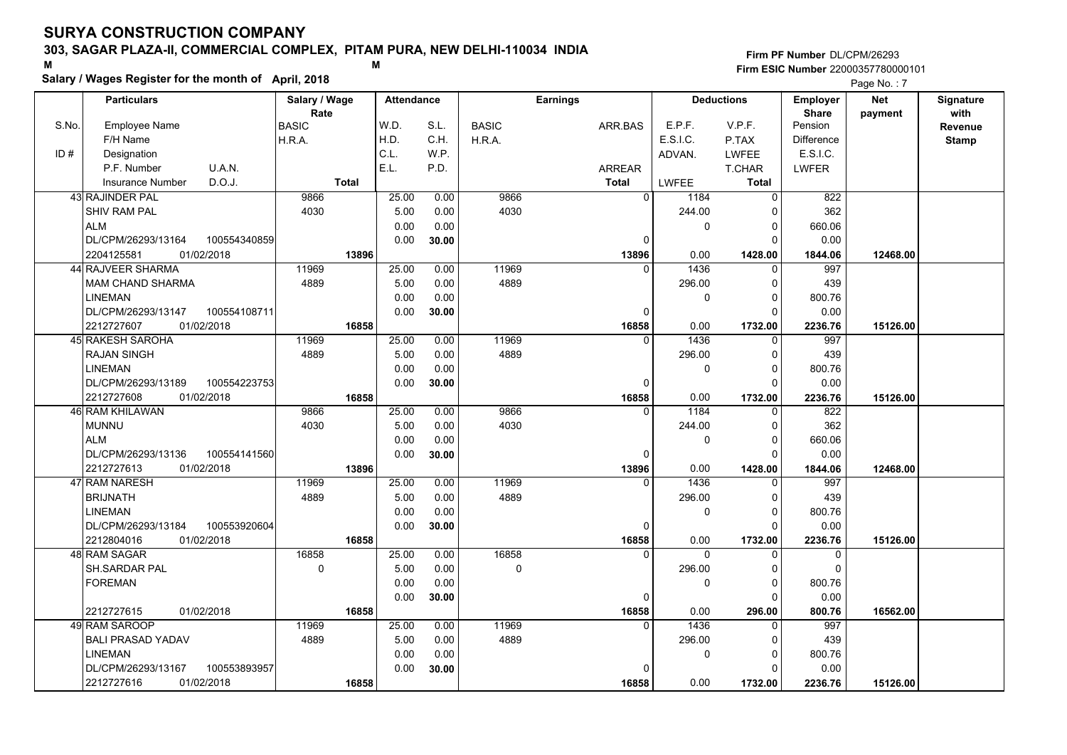### **303, SAGAR PLAZA-II, COMMERCIAL COMPLEX, PITAM PURA, NEW DELHI-110034 INDIA**

**Salary / Wages Register for the month of April, 2018 <sup>M</sup> <sup>M</sup>**

#### **Firm PF Number**DL/CPM/26293**Firm ESIC Number** 22000357780000101

|       | <b>Particulars</b>                 | Salary / Wage | <b>Attendance</b> |       |              | <b>Earnings</b> |              | <b>Deductions</b> | <b>Employer</b>   | Net      | Signature    |
|-------|------------------------------------|---------------|-------------------|-------|--------------|-----------------|--------------|-------------------|-------------------|----------|--------------|
|       |                                    | Rate          |                   |       |              |                 |              |                   | <b>Share</b>      | payment  | with         |
| S.No. | <b>Employee Name</b>               | <b>BASIC</b>  | W.D.              | S.L.  | <b>BASIC</b> | ARR.BAS         | E.P.F.       | V.P.F.            | Pension           |          | Revenue      |
|       | F/H Name                           | H.R.A.        | H.D.              | C.H.  | H.R.A.       |                 | E.S.I.C.     | P.TAX             | <b>Difference</b> |          | <b>Stamp</b> |
| ID#   | Designation                        |               | C.L.              | W.P.  |              |                 | ADVAN.       | <b>LWFEE</b>      | E.S.I.C.          |          |              |
|       | P.F. Number<br>U.A.N.              |               | E.L.              | P.D.  |              | <b>ARREAR</b>   |              | T.CHAR            | <b>LWFER</b>      |          |              |
|       | D.O.J.<br><b>Insurance Number</b>  | <b>Total</b>  |                   |       |              | <b>Total</b>    | LWFEE        | <b>Total</b>      |                   |          |              |
|       | 43 RAJINDER PAL                    | 9866          | 25.00             | 0.00  | 9866         | $\Omega$        | 1184         | $\Omega$          | 822               |          |              |
|       | <b>SHIV RAM PAL</b>                | 4030          | 5.00              | 0.00  | 4030         |                 | 244.00       | 0                 | 362               |          |              |
|       | <b>ALM</b>                         |               | 0.00              | 0.00  |              |                 | 0            | $\Omega$          | 660.06            |          |              |
|       | 100554340859<br>DL/CPM/26293/13164 |               | 0.00              | 30.00 |              | 0               |              | $\Omega$          | 0.00              |          |              |
|       | 01/02/2018<br>2204125581           | 13896         |                   |       |              | 13896           | 0.00         | 1428.00           | 1844.06           | 12468.00 |              |
|       | 44 RAJVEER SHARMA                  | 11969         | 25.00             | 0.00  | 11969        | $\Omega$        | 1436         | $\Omega$          | 997               |          |              |
|       | MAM CHAND SHARMA                   | 4889          | 5.00              | 0.00  | 4889         |                 | 296.00       | $\Omega$          | 439               |          |              |
|       | <b>LINEMAN</b>                     |               | 0.00              | 0.00  |              |                 | $\mathbf 0$  | $\Omega$          | 800.76            |          |              |
|       | DL/CPM/26293/13147<br>100554108711 |               | 0.00              | 30.00 |              | $\Omega$        |              | $\Omega$          | 0.00              |          |              |
|       | 2212727607<br>01/02/2018           | 16858         |                   |       |              | 16858           | 0.00         | 1732.00           | 2236.76           | 15126.00 |              |
|       | 45 RAKESH SAROHA                   | 11969         | 25.00             | 0.00  | 11969        | $\Omega$        | 1436         | $\Omega$          | 997               |          |              |
|       | <b>RAJAN SINGH</b>                 | 4889          | 5.00              | 0.00  | 4889         |                 | 296.00       | 0                 | 439               |          |              |
|       | <b>LINEMAN</b>                     |               | 0.00              | 0.00  |              |                 | 0            | $\Omega$          | 800.76            |          |              |
|       | DL/CPM/26293/13189<br>100554223753 |               | 0.00              | 30.00 |              | $\Omega$        |              | $\Omega$          | 0.00              |          |              |
|       | 2212727608<br>01/02/2018           | 16858         |                   |       |              | 16858           | 0.00         | 1732.00           | 2236.76           | 15126.00 |              |
|       | 46 RAM KHILAWAN                    | 9866          | 25.00             | 0.00  | 9866         | $\Omega$        | 1184         | 0                 | 822               |          |              |
|       | <b>MUNNU</b>                       | 4030          | 5.00              | 0.00  | 4030         |                 | 244.00       | $\Omega$          | 362               |          |              |
|       | <b>ALM</b>                         |               | 0.00              | 0.00  |              |                 | $\Omega$     | $\Omega$          | 660.06            |          |              |
|       | DL/CPM/26293/13136<br>100554141560 |               | 0.00              | 30.00 |              | 0               |              | $\Omega$          | 0.00              |          |              |
|       | 2212727613<br>01/02/2018           | 13896         |                   |       |              | 13896           | 0.00         | 1428.00           | 1844.06           | 12468.00 |              |
|       | 47 RAM NARESH                      | 11969         | 25.00             | 0.00  | 11969        | $\Omega$        | 1436         | $\Omega$          | 997               |          |              |
|       | <b>BRIJNATH</b>                    | 4889          | 5.00              | 0.00  | 4889         |                 | 296.00       | $\Omega$          | 439               |          |              |
|       | <b>LINEMAN</b>                     |               | 0.00              | 0.00  |              |                 | $\Omega$     | 0                 | 800.76            |          |              |
|       | DL/CPM/26293/13184<br>100553920604 |               | 0.00              | 30.00 |              | 0               |              | $\Omega$          | 0.00              |          |              |
|       | 2212804016<br>01/02/2018           | 16858         |                   |       |              | 16858           | 0.00         | 1732.00           | 2236.76           | 15126.00 |              |
|       | 48 RAM SAGAR                       | 16858         | 25.00             | 0.00  | 16858        | $\Omega$        | $\mathbf{0}$ | 0                 | $\mathbf 0$       |          |              |
|       | <b>SH.SARDAR PAL</b>               | 0             | 5.00              | 0.00  | $\mathbf 0$  |                 | 296.00       | 0                 | $\mathbf 0$       |          |              |
|       | <b>FOREMAN</b>                     |               | 0.00              | 0.00  |              |                 | $\mathbf 0$  | $\Omega$          | 800.76            |          |              |
|       |                                    |               | 0.00              | 30.00 |              | $\Omega$        |              | $\Omega$          | 0.00              |          |              |
|       | 01/02/2018<br>2212727615           | 16858         |                   |       |              | 16858           | 0.00         | 296.00            | 800.76            | 16562.00 |              |
|       | 49 RAM SAROOP                      | 11969         | 25.00             | 0.00  | 11969        | $\Omega$        | 1436         | $\Omega$          | 997               |          |              |
|       | <b>BALI PRASAD YADAV</b>           | 4889          | 5.00              | 0.00  | 4889         |                 | 296.00       | $\Omega$          | 439               |          |              |
|       | <b>LINEMAN</b>                     |               | 0.00              | 0.00  |              |                 | 0            | 0                 | 800.76            |          |              |
|       | DL/CPM/26293/13167<br>100553893957 |               | 0.00              | 30.00 |              | $\Omega$        |              | $\Omega$          | 0.00              |          |              |
|       | 2212727616<br>01/02/2018           | 16858         |                   |       |              | 16858           | 0.00         | 1732.00           | 2236.76           | 15126.00 |              |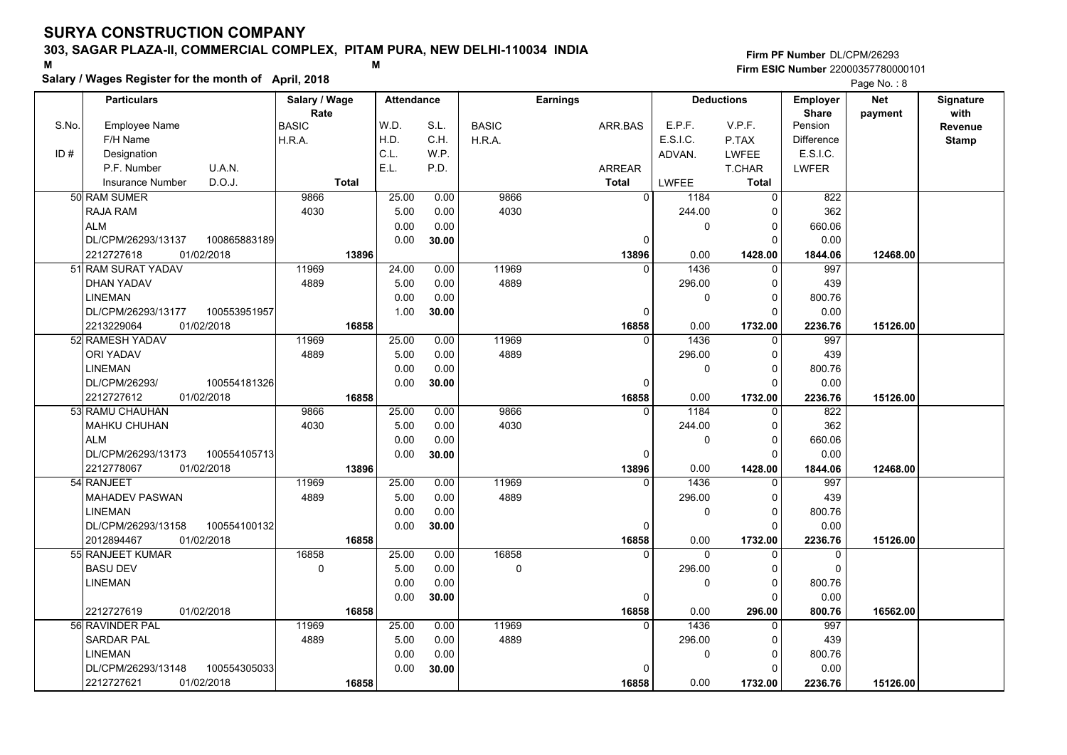### **303, SAGAR PLAZA-II, COMMERCIAL COMPLEX, PITAM PURA, NEW DELHI-110034 INDIA**

**Salary / Wages Register for the month of April, 2018 <sup>M</sup> <sup>M</sup>**

#### **Firm PF Number**DL/CPM/26293**Firm ESIC Number** 22000357780000101

|       | <b>Particulars</b>                 | Salary / Wage        | <b>Attendance</b> |       |              | <b>Earnings</b> |          | <b>Deductions</b> | <b>Employer</b>         | <b>Net</b> | Signature       |
|-------|------------------------------------|----------------------|-------------------|-------|--------------|-----------------|----------|-------------------|-------------------------|------------|-----------------|
| S.No. | Employee Name                      | Rate<br><b>BASIC</b> | W.D.              | S.L.  | <b>BASIC</b> | ARR.BAS         | E.P.F.   | V.P.F.            | <b>Share</b><br>Pension | payment    | with<br>Revenue |
|       | F/H Name                           | H.R.A.               | H.D.              | C.H.  | H.R.A.       |                 | E.S.I.C. | P.TAX             | <b>Difference</b>       |            | <b>Stamp</b>    |
| ID#   | Designation                        |                      | C.L.              | W.P.  |              |                 | ADVAN.   | LWFEE             | E.S.I.C.                |            |                 |
|       | U.A.N.<br>P.F. Number              |                      | E.L.              | P.D.  |              | <b>ARREAR</b>   |          | T.CHAR            | <b>LWFER</b>            |            |                 |
|       | D.O.J.<br><b>Insurance Number</b>  | <b>Total</b>         |                   |       |              | <b>Total</b>    | LWFEE    | <b>Total</b>      |                         |            |                 |
|       | 50 RAM SUMER                       | 9866                 | 25.00             | 0.00  | 9866         | $\mathbf 0$     | 1184     | $\Omega$          | 822                     |            |                 |
|       | RAJA RAM                           | 4030                 | 5.00              | 0.00  | 4030         |                 | 244.00   | ŋ                 | 362                     |            |                 |
|       | <b>ALM</b>                         |                      | 0.00              | 0.00  |              |                 | 0        | $\Omega$          | 660.06                  |            |                 |
|       | DL/CPM/26293/13137<br>100865883189 |                      | 0.00              | 30.00 |              | $\Omega$        |          |                   | 0.00                    |            |                 |
|       | 2212727618<br>01/02/2018           | 13896                |                   |       |              | 13896           | 0.00     | 1428.00           | 1844.06                 | 12468.00   |                 |
|       | 51 RAM SURAT YADAV                 | 11969                | 24.00             | 0.00  | 11969        | $\Omega$        | 1436     | $\Omega$          | 997                     |            |                 |
|       | DHAN YADAV                         | 4889                 | 5.00              | 0.00  | 4889         |                 | 296.00   | $\Omega$          | 439                     |            |                 |
|       | <b>LINEMAN</b>                     |                      | 0.00              | 0.00  |              |                 | 0        | $\Omega$          | 800.76                  |            |                 |
|       | DL/CPM/26293/13177<br>100553951957 |                      | 1.00              | 30.00 |              | $\Omega$        |          | $\Omega$          | 0.00                    |            |                 |
|       | 2213229064<br>01/02/2018           | 16858                |                   |       |              | 16858           | 0.00     | 1732.00           | 2236.76                 | 15126.00   |                 |
|       | 52 RAMESH YADAV                    | 11969                | 25.00             | 0.00  | 11969        | $\Omega$        | 1436     | $\Omega$          | 997                     |            |                 |
|       | <b>ORI YADAV</b>                   | 4889                 | 5.00              | 0.00  | 4889         |                 | 296.00   | $\Omega$          | 439                     |            |                 |
|       | <b>LINEMAN</b>                     |                      | 0.00              | 0.00  |              |                 | 0        | $\Omega$          | 800.76                  |            |                 |
|       | DL/CPM/26293/<br>100554181326      |                      | 0.00              | 30.00 |              | $\Omega$        |          | $\Omega$          | 0.00                    |            |                 |
|       | 2212727612<br>01/02/2018           | 16858                |                   |       |              | 16858           | 0.00     | 1732.00           | 2236.76                 | 15126.00   |                 |
|       | 53 RAMU CHAUHAN                    | 9866                 | 25.00             | 0.00  | 9866         | $\Omega$        | 1184     |                   | 822                     |            |                 |
|       | <b>MAHKU CHUHAN</b>                | 4030                 | 5.00              | 0.00  | 4030         |                 | 244.00   | $\Omega$          | 362                     |            |                 |
|       | <b>ALM</b>                         |                      | 0.00              | 0.00  |              |                 | 0        | 0                 | 660.06                  |            |                 |
|       | 100554105713<br>DL/CPM/26293/13173 |                      | 0.00              | 30.00 |              | 0               |          | ∩                 | 0.00                    |            |                 |
|       | 2212778067<br>01/02/2018           | 13896                |                   |       |              | 13896           | 0.00     | 1428.00           | 1844.06                 | 12468.00   |                 |
|       | 54 RANJEET                         | 11969                | 25.00             | 0.00  | 11969        | $\Omega$        | 1436     |                   | 997                     |            |                 |
|       | <b>MAHADEV PASWAN</b>              | 4889                 | 5.00              | 0.00  | 4889         |                 | 296.00   | $\Omega$          | 439                     |            |                 |
|       | <b>LINEMAN</b>                     |                      | 0.00              | 0.00  |              |                 | 0        | 0                 | 800.76                  |            |                 |
|       | 100554100132<br>DL/CPM/26293/13158 |                      | 0.00              | 30.00 |              | 0               |          | $\Omega$          | 0.00                    |            |                 |
|       | 01/02/2018<br>2012894467           | 16858                |                   |       |              | 16858           | 0.00     | 1732.00           | 2236.76                 | 15126.00   |                 |
|       | 55 RANJEET KUMAR                   | 16858                | 25.00             | 0.00  | 16858        | $\Omega$        | $\Omega$ | $\Omega$          | 0                       |            |                 |
|       | <b>BASU DEV</b>                    | 0                    | 5.00              | 0.00  | $\Omega$     |                 | 296.00   | $\Omega$          | $\mathbf 0$             |            |                 |
|       | <b>LINEMAN</b>                     |                      | 0.00              | 0.00  |              |                 | 0        | $\Omega$          | 800.76                  |            |                 |
|       |                                    |                      | 0.00              | 30.00 |              | 0               |          |                   | 0.00                    |            |                 |
|       | 2212727619<br>01/02/2018           | 16858                |                   |       |              | 16858           | 0.00     | 296.00            | 800.76                  | 16562.00   |                 |
|       | 56 RAVINDER PAL                    | 11969                | 25.00             | 0.00  | 11969        | $\Omega$        | 1436     | O                 | 997                     |            |                 |
|       | <b>SARDAR PAL</b>                  | 4889                 | 5.00              | 0.00  | 4889         |                 | 296.00   | 0                 | 439                     |            |                 |
|       | <b>LINEMAN</b>                     |                      | 0.00              | 0.00  |              |                 | 0        | $\Omega$          | 800.76                  |            |                 |
|       | DL/CPM/26293/13148<br>100554305033 |                      | 0.00              | 30.00 |              |                 |          | ∩                 | 0.00                    |            |                 |
|       | 2212727621<br>01/02/2018           | 16858                |                   |       |              | 16858           | 0.00     | 1732.00           | 2236.76                 | 15126.00   |                 |
|       |                                    |                      |                   |       |              |                 |          |                   |                         |            |                 |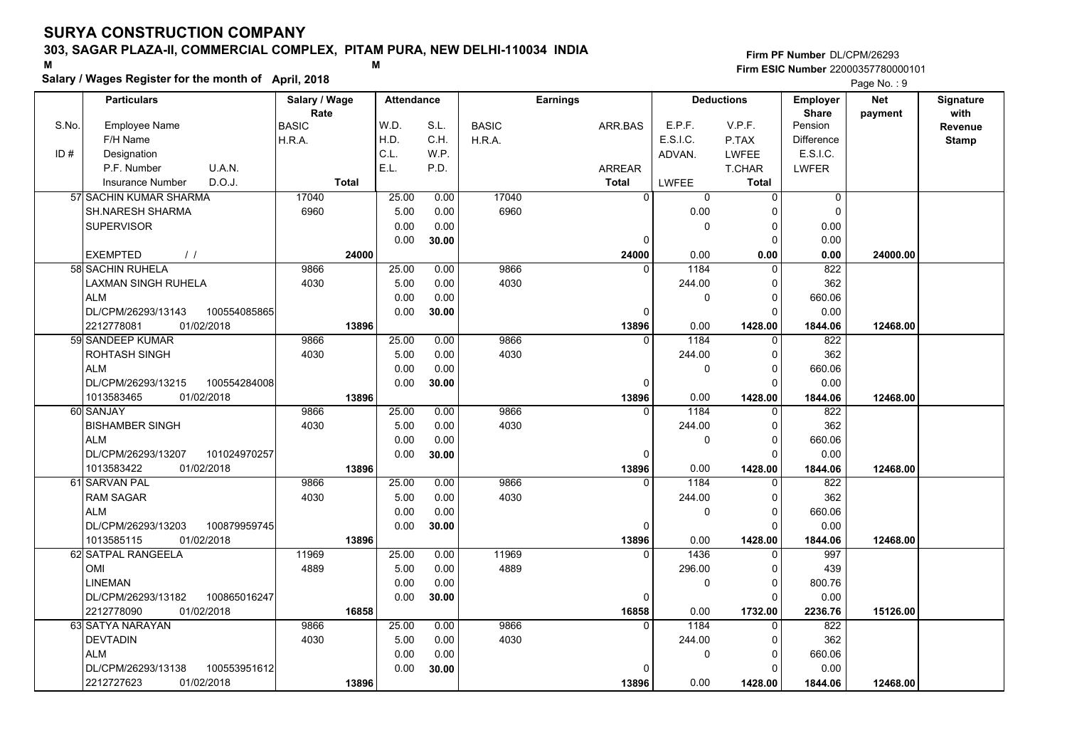### **303, SAGAR PLAZA-II, COMMERCIAL COMPLEX, PITAM PURA, NEW DELHI-110034 INDIA**

**Salary / Wages Register for the month of April, 2018 <sup>M</sup> <sup>M</sup>**

**Firm PF Number**DL/CPM/26293**Firm ESIC Number** 22000357780000101

|       | <b>Particulars</b>                 | Salary / Wage        | <b>Attendance</b> |       |              | <b>Earnings</b> |          | <b>Deductions</b> | Employer                | <b>Net</b> | Signature       |
|-------|------------------------------------|----------------------|-------------------|-------|--------------|-----------------|----------|-------------------|-------------------------|------------|-----------------|
| S.No. | <b>Employee Name</b>               | Rate<br><b>BASIC</b> | W.D.              | S.L.  | <b>BASIC</b> | ARR.BAS         | E.P.F.   | V.P.F.            | <b>Share</b><br>Pension | payment    | with<br>Revenue |
|       | F/H Name                           | H.R.A.               | H.D.              | C.H.  | H.R.A.       |                 | E.S.I.C. | P.TAX             | <b>Difference</b>       |            | <b>Stamp</b>    |
| ID#   | Designation                        |                      | C.L.              | W.P.  |              |                 | ADVAN.   | <b>LWFEE</b>      | E.S.I.C.                |            |                 |
|       | U.A.N.<br>P.F. Number              |                      | E.L.              | P.D.  |              | <b>ARREAR</b>   |          | <b>T.CHAR</b>     | <b>LWFER</b>            |            |                 |
|       | D.O.J.<br>Insurance Number         | <b>Total</b>         |                   |       |              | <b>Total</b>    | LWFEE    | <b>Total</b>      |                         |            |                 |
|       | 57 SACHIN KUMAR SHARMA             | 17040                | 25.00             | 0.00  | 17040        | $\Omega$        | 0        | $\mathbf 0$       | $\mathbf 0$             |            |                 |
|       | <b>SH.NARESH SHARMA</b>            | 6960                 | 5.00              | 0.00  | 6960         |                 | 0.00     | $\Omega$          | $\mathbf 0$             |            |                 |
|       | <b>SUPERVISOR</b>                  |                      | 0.00              | 0.00  |              |                 | 0        | 0                 | 0.00                    |            |                 |
|       |                                    |                      | 0.00              | 30.00 |              | 0               |          | $\Omega$          | 0.00                    |            |                 |
|       | <b>EXEMPTED</b><br>$\frac{1}{2}$   | 24000                |                   |       |              | 24000           | 0.00     | 0.00              | 0.00                    | 24000.00   |                 |
|       | 58 SACHIN RUHELA                   | 9866                 | 25.00             | 0.00  | 9866         | $\Omega$        | 1184     | 0                 | 822                     |            |                 |
|       | LAXMAN SINGH RUHELA                | 4030                 | 5.00              | 0.00  | 4030         |                 | 244.00   | 0                 | 362                     |            |                 |
|       | <b>ALM</b>                         |                      | 0.00              | 0.00  |              |                 | 0        | $\mathbf 0$       | 660.06                  |            |                 |
|       | DL/CPM/26293/13143<br>100554085865 |                      | 0.00              | 30.00 |              | $\Omega$        |          | $\Omega$          | 0.00                    |            |                 |
|       | 01/02/2018<br>2212778081           | 13896                |                   |       |              | 13896           | 0.00     | 1428.00           | 1844.06                 | 12468.00   |                 |
|       | 59 SANDEEP KUMAR                   | 9866                 | 25.00             | 0.00  | 9866         | $\Omega$        | 1184     | $\mathbf 0$       | 822                     |            |                 |
|       | ROHTASH SINGH                      | 4030                 | 5.00              | 0.00  | 4030         |                 | 244.00   | 0                 | 362                     |            |                 |
|       | <b>ALM</b>                         |                      | 0.00              | 0.00  |              |                 | 0        | $\mathbf 0$       | 660.06                  |            |                 |
|       | DL/CPM/26293/13215<br>100554284008 |                      | 0.00              | 30.00 |              | O               |          | $\Omega$          | 0.00                    |            |                 |
|       | 1013583465<br>01/02/2018           | 13896                |                   |       |              | 13896           | 0.00     | 1428.00           | 1844.06                 | 12468.00   |                 |
|       | 60 SANJAY                          | 9866                 | 25.00             | 0.00  | 9866         |                 | 1184     | 0                 | 822                     |            |                 |
|       | <b>BISHAMBER SINGH</b>             | 4030                 | 5.00              | 0.00  | 4030         |                 | 244.00   | $\mathbf 0$       | 362                     |            |                 |
|       | <b>ALM</b>                         |                      | 0.00              | 0.00  |              |                 | 0        | $\mathbf 0$       | 660.06                  |            |                 |
|       | 101024970257<br>DL/CPM/26293/13207 |                      | 0.00              | 30.00 |              | O               |          | $\Omega$          | 0.00                    |            |                 |
|       | 1013583422<br>01/02/2018           | 13896                |                   |       |              | 13896           | 0.00     | 1428.00           | 1844.06                 | 12468.00   |                 |
|       | 61 SARVAN PAL                      | 9866                 | 25.00             | 0.00  | 9866         | $\Omega$        | 1184     | $\Omega$          | 822                     |            |                 |
|       | <b>RAM SAGAR</b>                   | 4030                 | 5.00              | 0.00  | 4030         |                 | 244.00   | 0                 | 362                     |            |                 |
|       | <b>ALM</b>                         |                      | 0.00              | 0.00  |              |                 | 0        | $\mathbf 0$       | 660.06                  |            |                 |
|       | DL/CPM/26293/13203<br>100879959745 |                      | 0.00              | 30.00 |              | $\Omega$        |          | $\mathbf 0$       | 0.00                    |            |                 |
|       | 01/02/2018<br>1013585115           | 13896                |                   |       |              | 13896           | 0.00     | 1428.00           | 1844.06                 | 12468.00   |                 |
|       | 62 SATPAL RANGEELA                 | 11969                | 25.00             | 0.00  | 11969        | $\Omega$        | 1436     | $\mathbf 0$       | 997                     |            |                 |
|       | OMI                                | 4889                 | 5.00              | 0.00  | 4889         |                 | 296.00   | 0                 | 439                     |            |                 |
|       | <b>LINEMAN</b>                     |                      | 0.00              | 0.00  |              |                 | 0        | $\mathbf 0$       | 800.76                  |            |                 |
|       | DL/CPM/26293/13182<br>100865016247 |                      | 0.00              | 30.00 |              | 0               |          | $\Omega$          | 0.00                    |            |                 |
|       | 2212778090<br>01/02/2018           | 16858                |                   |       |              | 16858           | 0.00     | 1732.00           | 2236.76                 | 15126.00   |                 |
|       | 63 SATYA NARAYAN                   | 9866                 | 25.00             | 0.00  | 9866         | $\Omega$        | 1184     | $\Omega$          | 822                     |            |                 |
|       | <b>DEVTADIN</b>                    | 4030                 | 5.00              | 0.00  | 4030         |                 | 244.00   | 0                 | 362                     |            |                 |
|       | <b>ALM</b>                         |                      | 0.00              | 0.00  |              |                 | 0        | $\mathbf 0$       | 660.06                  |            |                 |
|       | DL/CPM/26293/13138<br>100553951612 |                      | 0.00              | 30.00 |              | n               |          | $\Omega$          | 0.00                    |            |                 |
|       | 2212727623<br>01/02/2018           | 13896                |                   |       |              | 13896           | 0.00     | 1428.00           | 1844.06                 | 12468.00   |                 |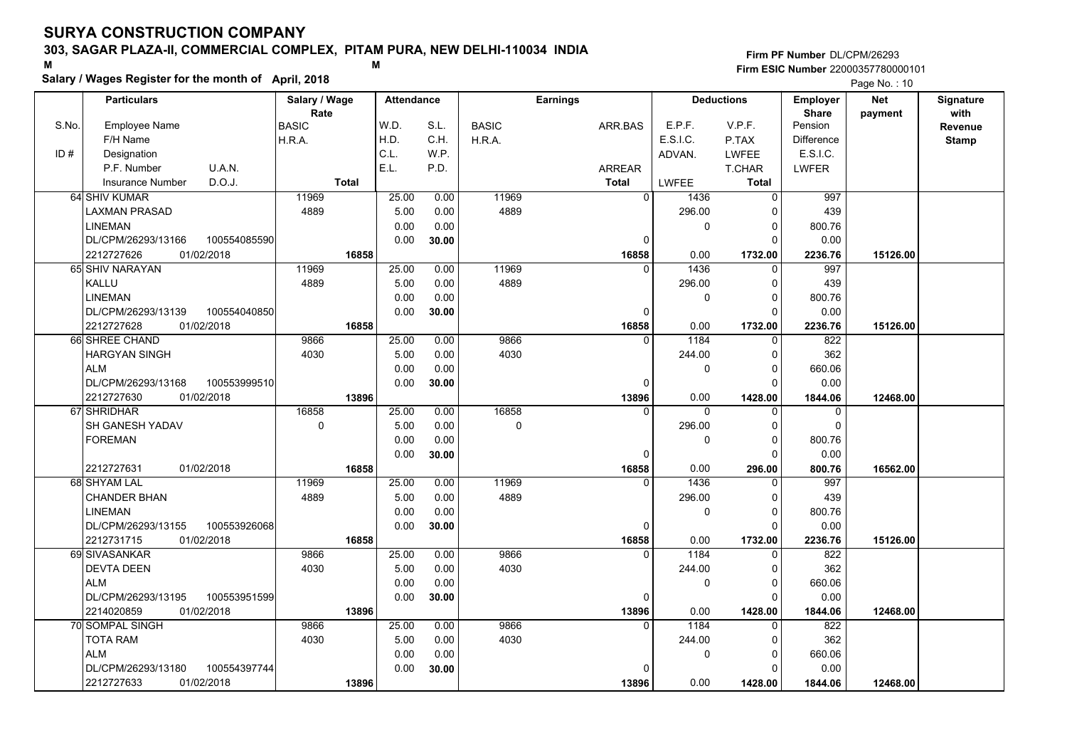### **303, SAGAR PLAZA-II, COMMERCIAL COMPLEX, PITAM PURA, NEW DELHI-110034 INDIA**

**Salary / Wages Register for the month of April, 2018 <sup>M</sup> <sup>M</sup>**

#### **Firm PF Number**DL/CPM/26293**Firm ESIC Number** 22000357780000101

|       | <b>Particulars</b>                 | Salary / Wage<br>Rate | <b>Attendance</b> |       |              | <b>Earnings</b> |              | <b>Deductions</b> | Employer<br><b>Share</b> | <b>Net</b> | Signature<br>with |
|-------|------------------------------------|-----------------------|-------------------|-------|--------------|-----------------|--------------|-------------------|--------------------------|------------|-------------------|
| S.No. | Employee Name                      | <b>BASIC</b>          | W.D.              | S.L.  | <b>BASIC</b> | ARR BAS         | E.P.F.       | V.P.F.            | Pension                  | payment    | <b>Revenue</b>    |
|       | F/H Name                           | H.R.A.                | H.D.              | C.H.  | H.R.A.       |                 | E.S.I.C.     | P.TAX             | <b>Difference</b>        |            | <b>Stamp</b>      |
| ID#   | Designation                        |                       | C.L.              | W.P.  |              |                 | ADVAN.       | <b>LWFEE</b>      | E.S.I.C.                 |            |                   |
|       | U.A.N.<br>P.F. Number              |                       | E.L.              | P.D.  |              | <b>ARREAR</b>   |              | T.CHAR            | <b>LWFER</b>             |            |                   |
|       | D.O.J.<br>Insurance Number         | <b>Total</b>          |                   |       |              | Total           | LWFEE        | Total             |                          |            |                   |
|       | 64 SHIV KUMAR                      | 11969                 | 25.00             | 0.00  | 11969        | $\Omega$        | 1436         | $\mathsf 0$       | 997                      |            |                   |
|       | <b>LAXMAN PRASAD</b>               | 4889                  | 5.00              | 0.00  | 4889         |                 | 296.00       | 0                 | 439                      |            |                   |
|       | <b>LINEMAN</b>                     |                       | 0.00              | 0.00  |              |                 | $\mathbf 0$  | $\mathbf 0$       | 800.76                   |            |                   |
|       | DL/CPM/26293/13166<br>100554085590 |                       | 0.00              | 30.00 |              | 0               |              | $\Omega$          | 0.00                     |            |                   |
|       | 2212727626<br>01/02/2018           | 16858                 |                   |       |              | 16858           | 0.00         | 1732.00           | 2236.76                  | 15126.00   |                   |
|       | 65 SHIV NARAYAN                    | 11969                 | 25.00             | 0.00  | 11969        | <sup>0</sup>    | 1436         | 0                 | 997                      |            |                   |
|       | KALLU                              | 4889                  | 5.00              | 0.00  | 4889         |                 | 296.00       | $\mathbf 0$       | 439                      |            |                   |
|       | <b>LINEMAN</b>                     |                       | 0.00              | 0.00  |              |                 | 0            | $\mathbf 0$       | 800.76                   |            |                   |
|       | DL/CPM/26293/13139<br>100554040850 |                       | 0.00              | 30.00 |              | 0               |              | $\mathbf 0$       | 0.00                     |            |                   |
|       | 01/02/2018<br>2212727628           | 16858                 |                   |       |              | 16858           | 0.00         | 1732.00           | 2236.76                  | 15126.00   |                   |
|       | 66 SHREE CHAND                     | 9866                  | 25.00             | 0.00  | 9866         | $\Omega$        | 1184         | $\mathbf 0$       | 822                      |            |                   |
|       | <b>HARGYAN SINGH</b>               | 4030                  | 5.00              | 0.00  | 4030         |                 | 244.00       | $\mathbf 0$       | 362                      |            |                   |
|       | <b>ALM</b>                         |                       | 0.00              | 0.00  |              |                 | $\mathbf{0}$ | $\mathbf 0$       | 660.06                   |            |                   |
|       | DL/CPM/26293/13168<br>100553999510 |                       | 0.00              | 30.00 |              | 0               |              | $\Omega$          | 0.00                     |            |                   |
|       | 2212727630<br>01/02/2018           | 13896                 |                   |       |              | 13896           | 0.00         | 1428.00           | 1844.06                  | 12468.00   |                   |
|       | 67 SHRIDHAR                        | 16858                 | 25.00             | 0.00  | 16858        | $\Omega$        | $\Omega$     | 0                 | 0                        |            |                   |
|       | SH GANESH YADAV                    | $\mathbf 0$           | 5.00              | 0.00  | $\mathbf 0$  |                 | 296.00       | $\mathbf 0$       | 0                        |            |                   |
|       | <b>FOREMAN</b>                     |                       | 0.00              | 0.00  |              |                 | $\Omega$     | $\pmb{0}$         | 800.76                   |            |                   |
|       |                                    |                       | 0.00              | 30.00 |              | $\Omega$        |              | $\Omega$          | 0.00                     |            |                   |
|       | 2212727631<br>01/02/2018           | 16858                 |                   |       |              | 16858           | 0.00         | 296.00            | 800.76                   | 16562.00   |                   |
|       | 68 SHYAM LAL                       | 11969                 | 25.00             | 0.00  | 11969        | U               | 1436         | $\Omega$          | 997                      |            |                   |
|       | <b>CHANDER BHAN</b>                | 4889                  | 5.00              | 0.00  | 4889         |                 | 296.00       | 0                 | 439                      |            |                   |
|       | <b>LINEMAN</b>                     |                       | 0.00              | 0.00  |              |                 | $\mathbf 0$  | $\mathbf 0$       | 800.76                   |            |                   |
|       | DL/CPM/26293/13155<br>100553926068 |                       | 0.00              | 30.00 |              | 0               |              | $\mathbf 0$       | 0.00                     |            |                   |
|       | 01/02/2018<br>2212731715           | 16858                 |                   |       |              | 16858           | 0.00         | 1732.00           | 2236.76                  | 15126.00   |                   |
|       | 69 SIVASANKAR                      | 9866                  | 25.00             | 0.00  | 9866         | $\Omega$        | 1184         | 0                 | 822                      |            |                   |
|       | <b>DEVTA DEEN</b>                  | 4030                  | 5.00              | 0.00  | 4030         |                 | 244.00       | 0                 | 362                      |            |                   |
|       | <b>ALM</b>                         |                       | 0.00              | 0.00  |              |                 | $\mathbf 0$  | $\mathbf 0$       | 660.06                   |            |                   |
|       | 100553951599<br>DL/CPM/26293/13195 |                       | 0.00              | 30.00 |              | $\Omega$        |              | $\Omega$          | 0.00                     |            |                   |
|       | 2214020859<br>01/02/2018           | 13896                 |                   |       |              | 13896           | 0.00         | 1428.00           | 1844.06                  | 12468.00   |                   |
|       | 70 SOMPAL SINGH                    | 9866                  | 25.00             | 0.00  | 9866         | $\Omega$        | 1184         | $\Omega$          | 822                      |            |                   |
|       | <b>TOTA RAM</b>                    | 4030                  | 5.00              | 0.00  | 4030         |                 | 244.00       | 0                 | 362                      |            |                   |
|       | <b>ALM</b>                         |                       | 0.00              | 0.00  |              |                 | $\mathbf{0}$ | $\mathbf 0$       | 660.06                   |            |                   |
|       | DL/CPM/26293/13180<br>100554397744 |                       | 0.00              | 30.00 |              | 0               |              | $\Omega$          | 0.00                     |            |                   |
|       | 2212727633<br>01/02/2018           | 13896                 |                   |       |              | 13896           | 0.00         | 1428.00           | 1844.06                  | 12468.00   |                   |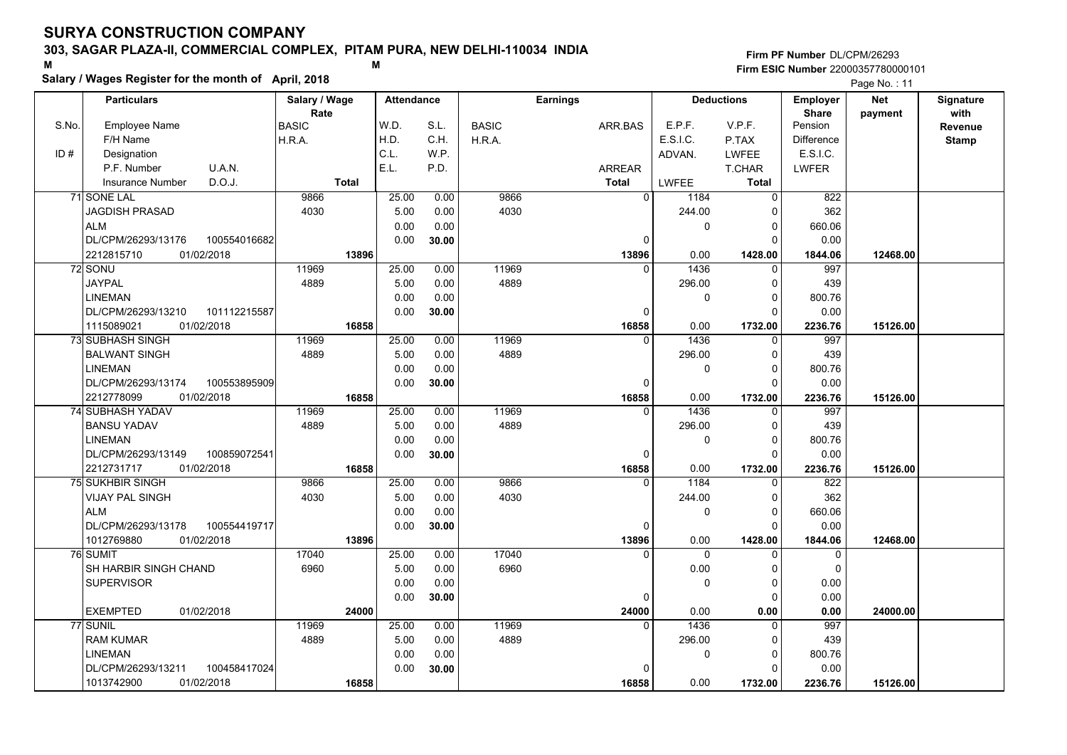### **303, SAGAR PLAZA-II, COMMERCIAL COMPLEX, PITAM PURA, NEW DELHI-110034 INDIA**

**Salary / Wages Register for the month of April, 2018 <sup>M</sup> <sup>M</sup>**

#### **Firm PF Number**DL/CPM/26293**Firm ESIC Number** 22000357780000101

|       | <b>Particulars</b>                 | Salary / Wage        | <b>Attendance</b> |       |              | Earnings          |              | <b>Deductions</b>       | Employer                | <b>Net</b> | Signature<br>with |
|-------|------------------------------------|----------------------|-------------------|-------|--------------|-------------------|--------------|-------------------------|-------------------------|------------|-------------------|
| S.No. | Employee Name                      | Rate<br><b>BASIC</b> | W.D.              | S.L.  | <b>BASIC</b> | ARR.BAS           | E.P.F.       | V.P.F.                  | <b>Share</b><br>Pension | payment    | <b>Revenue</b>    |
|       | F/H Name                           | H.R.A.               | H.D.              | C.H.  | H.R.A.       |                   | E.S.I.C.     | P.TAX                   | Difference              |            | <b>Stamp</b>      |
| ID#   | Designation                        |                      | C.L.              | W.P.  |              |                   | ADVAN.       | <b>LWFEE</b>            | E.S.I.C.                |            |                   |
|       | U.A.N.<br>P.F. Number              |                      | E.L.              | P.D.  |              | <b>ARREAR</b>     |              | T.CHAR                  | <b>LWFER</b>            |            |                   |
|       | D.O.J.<br>Insurance Number         | <b>Total</b>         |                   |       |              | <b>Total</b>      | <b>LWFEE</b> | <b>Total</b>            |                         |            |                   |
|       | 71 SONE LAL                        | 9866                 | 25.00             | 0.00  | 9866         | $\Omega$          | 1184         | 0                       | 822                     |            |                   |
|       | <b>JAGDISH PRASAD</b>              | 4030                 | 5.00              | 0.00  | 4030         |                   | 244.00       | $\mathbf 0$             | 362                     |            |                   |
|       | <b>ALM</b>                         |                      | 0.00              | 0.00  |              |                   | 0            | $\mathbf 0$             | 660.06                  |            |                   |
|       | DL/CPM/26293/13176<br>100554016682 |                      | 0.00              | 30.00 |              | $\Omega$          |              | $\Omega$                | 0.00                    |            |                   |
|       | 2212815710<br>01/02/2018           | 13896                |                   |       |              | 13896             | 0.00         | 1428.00                 | 1844.06                 | 12468.00   |                   |
|       | 72 SONU                            | 11969                | 25.00             | 0.00  | 11969        | $\Omega$          | 1436         | $\mathbf 0$             | 997                     |            |                   |
|       | <b>JAYPAL</b>                      | 4889                 | 5.00              | 0.00  | 4889         |                   | 296.00       | $\mathbf 0$             | 439                     |            |                   |
|       | <b>LINEMAN</b>                     |                      | 0.00              | 0.00  |              |                   | 0            | $\mathbf 0$             | 800.76                  |            |                   |
|       | DL/CPM/26293/13210<br>101112215587 |                      | 0.00              | 30.00 |              | 0                 |              | $\Omega$                | 0.00                    |            |                   |
|       | 1115089021<br>01/02/2018           | 16858                |                   |       |              | 16858             | 0.00         | 1732.00                 | 2236.76                 | 15126.00   |                   |
|       | 73 SUBHASH SINGH                   | 11969                | 25.00             | 0.00  | 11969        | $\Omega$          | 1436         | 0                       | 997                     |            |                   |
|       | <b>BALWANT SINGH</b>               | 4889                 | 5.00              | 0.00  | 4889         |                   | 296.00       | $\mathbf 0$             | 439                     |            |                   |
|       | <b>LINEMAN</b>                     |                      | 0.00              | 0.00  |              |                   | 0            | $\mathbf 0$             | 800.76                  |            |                   |
|       | DL/CPM/26293/13174<br>100553895909 |                      | 0.00              | 30.00 |              | $\Omega$          |              | $\Omega$                | 0.00                    |            |                   |
|       | 2212778099<br>01/02/2018           | 16858                |                   |       |              | 16858             | 0.00         | 1732.00                 | 2236.76                 | 15126.00   |                   |
|       | 74 SUBHASH YADAV                   | 11969                | 25.00             | 0.00  | 11969        | $\Omega$          | 1436         | $\mathbf 0$             | 997                     |            |                   |
|       | <b>BANSU YADAV</b>                 | 4889                 | 5.00              | 0.00  | 4889         |                   | 296.00       | $\mathbf 0$             | 439                     |            |                   |
|       | <b>LINEMAN</b>                     |                      | 0.00              | 0.00  |              |                   | $\Omega$     | $\mathbf 0$             | 800.76                  |            |                   |
|       | DL/CPM/26293/13149<br>100859072541 |                      | 0.00              | 30.00 |              | $\Omega$          |              | $\Omega$                | 0.00                    |            |                   |
|       | 2212731717<br>01/02/2018           | 16858                |                   |       |              | 16858             | 0.00         | 1732.00                 | 2236.76                 | 15126.00   |                   |
|       | <b>75 SUKHBIR SINGH</b>            | 9866                 | 25.00             | 0.00  | 9866         | $\Omega$          | 1184         | $\Omega$                | 822                     |            |                   |
|       | VIJAY PAL SINGH                    | 4030                 | 5.00              | 0.00  | 4030         |                   | 244.00       | $\mathbf 0$             | 362                     |            |                   |
|       | <b>ALM</b>                         |                      | 0.00              | 0.00  |              |                   | 0            | $\mathbf 0$             | 660.06                  |            |                   |
|       | DL/CPM/26293/13178<br>100554419717 |                      | 0.00              | 30.00 |              | 0                 |              | $\mathbf 0$             | 0.00                    |            |                   |
|       | 1012769880<br>01/02/2018           | 13896                |                   |       |              | 13896             | 0.00         | 1428.00                 | 1844.06                 | 12468.00   |                   |
|       | 76 SUMIT                           | 17040                | 25.00             | 0.00  | 17040        | U                 | $\Omega$     | $\Omega$                | $\mathbf 0$             |            |                   |
|       | SH HARBIR SINGH CHAND              | 6960                 | 5.00              | 0.00  | 6960         |                   | 0.00         | $\mathbf 0$             | $\mathbf 0$             |            |                   |
|       | <b>SUPERVISOR</b>                  |                      | 0.00              | 0.00  |              |                   | 0            | 0                       | 0.00                    |            |                   |
|       |                                    |                      | 0.00              | 30.00 |              | $\Omega$          |              | $\mathbf 0$             | 0.00                    |            |                   |
|       | <b>EXEMPTED</b><br>01/02/2018      | 24000                |                   |       |              | 24000<br>$\Omega$ | 0.00<br>1436 | 0.00                    | 0.00                    | 24000.00   |                   |
|       | 77 SUNIL                           | 11969                | 25.00             | 0.00  | 11969        |                   |              | $\Omega$                | 997                     |            |                   |
|       | <b>RAM KUMAR</b>                   | 4889                 | 5.00              | 0.00  | 4889         |                   | 296.00       | 0                       | 439                     |            |                   |
|       | <b>LINEMAN</b>                     |                      | 0.00              | 0.00  |              | $\Omega$          | 0            | $\mathbf 0$<br>$\Omega$ | 800.76                  |            |                   |
|       | DL/CPM/26293/13211<br>100458417024 |                      | 0.00              | 30.00 |              |                   |              |                         | 0.00                    |            |                   |
|       | 1013742900<br>01/02/2018           | 16858                |                   |       |              | 16858             | 0.00         | 1732.00                 | 2236.76                 | 15126.00   |                   |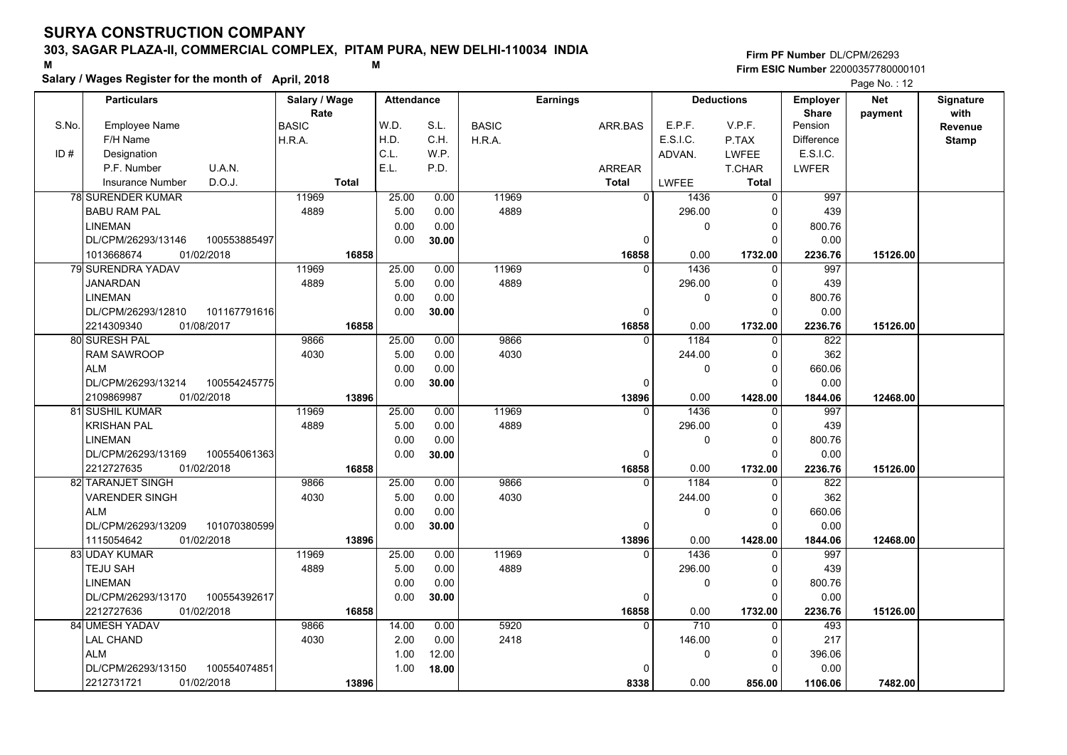**Particulars**

### **303, SAGAR PLAZA-II, COMMERCIAL COMPLEX, PITAM PURA, NEW DELHI-110034 INDIA**

**Salary / Wage** 

**Firm PF Number**DL/CPM/26293**Firm ESIC Number** 22000357780000101

**Salary / Wages Register for the month of April, 2018 <sup>M</sup> <sup>M</sup>** E.P.F. V.P.F. Pension**Deductions Employer ShareNet paymentSignature**Page No.: 12

| Revenue<br>H.D.<br>E.S.I.C.<br>F/H Name<br>C.H.<br>Difference<br>H.R.A.<br>H.R.A.<br>P.TAX<br><b>Stamp</b><br>C.L.<br>ID#<br>W.P.<br>E.S.I.C.<br>Designation<br>ADVAN.<br><b>LWFEE</b><br>U.A.N.<br>E.L.<br>P.F. Number<br>P.D.<br><b>LWFER</b><br>ARREAR<br>T.CHAR<br>D.O.J.<br><b>Insurance Number</b><br><b>Total</b><br><b>Total</b><br>LWFEE<br><b>Total</b><br>11969<br>78 SURENDER KUMAR<br>11969<br>25.00<br>$\overline{0}$<br>1436<br>997<br>0.00<br>$\Omega$<br>4889<br>4889<br><b>BABU RAM PAL</b><br>0.00<br>296.00<br>439<br>5.00<br>$\Omega$<br><b>LINEMAN</b><br>0.00<br>0.00<br>$\Omega$<br>800.76<br>0<br>DL/CPM/26293/13146<br>100553885497<br>0.00<br>0.00<br>30.00<br>0<br>$\Omega$<br>1013668674<br>01/02/2018<br>16858<br>16858<br>0.00<br>1732.00<br>2236.76<br>15126.00<br>79 SURENDRA YADAV<br>11969<br>25.00<br>0.00<br>11969<br>1436<br>997<br>$\Omega$<br>O<br>4889<br><b>JANARDAN</b><br>4889<br>5.00<br>0.00<br>296.00<br>439<br>∩<br><b>LINEMAN</b><br>0.00<br>0.00<br>0<br>800.76<br>0<br>DL/CPM/26293/12810<br>101167791616<br>0.00<br>30.00<br>$\Omega$<br>0.00<br>0<br>01/08/2017<br>16858<br>16858<br>0.00<br>2236.76<br>15126.00<br>2214309340<br>1732.00<br>80 SURESH PAL<br>9866<br>25.00<br>9866<br>1184<br>822<br>0.00<br>$\Omega$<br>$\Omega$<br>4030<br><b>RAM SAWROOP</b><br>4030<br>5.00<br>0.00<br>244.00<br>362<br>$\Omega$<br>0.00<br>0.00<br>660.06<br>ALM<br>0<br>0<br>100554245775<br>0.00<br>0.00<br>DL/CPM/26293/13214<br>30.00<br>0<br>$\Omega$<br>01/02/2018<br>13896<br>0.00<br>2109869987<br>13896<br>1428.00<br>1844.06<br>12468.00<br>11969<br>25.00<br>11969<br>81 SUSHIL KUMAR<br>0.00<br>$\Omega$<br>1436<br>997<br>$\Omega$<br><b>KRISHAN PAL</b><br>4889<br>5.00<br>4889<br>439<br>0.00<br>296.00<br>$\Omega$<br><b>LINEMAN</b><br>0.00<br>0.00<br>800.76<br>0<br>$\Omega$<br>DL/CPM/26293/13169<br>100554061363<br>0.00<br>0.00<br>30.00<br>0<br>$\Omega$<br>2212727635<br>01/02/2018<br>16858<br>0.00<br>16858<br>1732.00<br>2236.76<br>15126.00<br>82 TARANJET SINGH<br>9866<br>25.00<br>0.00<br>9866<br>822<br>1184<br>$\Omega$<br>0<br>4030<br><b>VARENDER SINGH</b><br>4030<br>5.00<br>0.00<br>244.00<br>362<br>$\Omega$<br><b>ALM</b><br>0.00<br>0.00<br>660.06<br>0<br>$\Omega$<br>DL/CPM/26293/13209<br>101070380599<br>0.00<br>0.00<br>30.00<br>$\Omega$<br>$\Omega$<br>0.00<br>1115054642<br>01/02/2018<br>13896<br>13896<br>1428.00<br>12468.00<br>1844.06<br>83 UDAY KUMAR<br>25.00<br>11969<br>997<br>11969<br>0.00<br>1436<br>$\Omega$<br>O<br><b>TEJU SAH</b><br>4889<br>5.00<br>4889<br>296.00<br>439<br>0.00<br>$\Omega$<br><b>LINEMAN</b><br>0.00<br>0.00<br>800.76<br>$\Omega$<br>$\Omega$<br>100554392617<br>0.00<br>0.00<br>DL/CPM/26293/13170<br>30.00<br>$\Omega$<br>$\Omega$<br>2212727636<br>01/02/2018<br>16858<br>16858<br>0.00<br>1732.00<br>2236.76<br>15126.00<br>84 UMESH YADAV<br>9866<br>14.00<br>5920<br>710<br>493<br>0.00<br>0<br><b>LAL CHAND</b><br>2418<br>4030<br>2.00<br>0.00<br>146.00<br>217<br>$\Omega$<br><b>ALM</b><br>1.00<br>12.00<br>396.06<br>0<br>$\Omega$<br>DL/CPM/26293/13150<br>100554074851<br>0.00<br>1.00<br>18.00<br>$\Omega$<br>n<br>01/02/2018<br>0.00<br>856.00<br>1106.06<br>7482.00 |       |               | Rate         |       |      |      |              |         |        |        | <b>Share</b> | payment | with |
|----------------------------------------------------------------------------------------------------------------------------------------------------------------------------------------------------------------------------------------------------------------------------------------------------------------------------------------------------------------------------------------------------------------------------------------------------------------------------------------------------------------------------------------------------------------------------------------------------------------------------------------------------------------------------------------------------------------------------------------------------------------------------------------------------------------------------------------------------------------------------------------------------------------------------------------------------------------------------------------------------------------------------------------------------------------------------------------------------------------------------------------------------------------------------------------------------------------------------------------------------------------------------------------------------------------------------------------------------------------------------------------------------------------------------------------------------------------------------------------------------------------------------------------------------------------------------------------------------------------------------------------------------------------------------------------------------------------------------------------------------------------------------------------------------------------------------------------------------------------------------------------------------------------------------------------------------------------------------------------------------------------------------------------------------------------------------------------------------------------------------------------------------------------------------------------------------------------------------------------------------------------------------------------------------------------------------------------------------------------------------------------------------------------------------------------------------------------------------------------------------------------------------------------------------------------------------------------------------------------------------------------------------------------------------------------------------------------------------------------------------------------------------------------------------------------------------------------------------------------------------------------------------------------------------------------------------------------------------------------------------------------------------------------------------------------------------------------------------------------------------------------------------------------------------------------------------------------------|-------|---------------|--------------|-------|------|------|--------------|---------|--------|--------|--------------|---------|------|
|                                                                                                                                                                                                                                                                                                                                                                                                                                                                                                                                                                                                                                                                                                                                                                                                                                                                                                                                                                                                                                                                                                                                                                                                                                                                                                                                                                                                                                                                                                                                                                                                                                                                                                                                                                                                                                                                                                                                                                                                                                                                                                                                                                                                                                                                                                                                                                                                                                                                                                                                                                                                                                                                                                                                                                                                                                                                                                                                                                                                                                                                                                                                                                                                                      | S.No. | Employee Name | <b>BASIC</b> |       | W.D. | S.L. | <b>BASIC</b> | ARR.BAS | E.P.F. | V.P.F. | Pension      |         |      |
|                                                                                                                                                                                                                                                                                                                                                                                                                                                                                                                                                                                                                                                                                                                                                                                                                                                                                                                                                                                                                                                                                                                                                                                                                                                                                                                                                                                                                                                                                                                                                                                                                                                                                                                                                                                                                                                                                                                                                                                                                                                                                                                                                                                                                                                                                                                                                                                                                                                                                                                                                                                                                                                                                                                                                                                                                                                                                                                                                                                                                                                                                                                                                                                                                      |       |               |              |       |      |      |              |         |        |        |              |         |      |
|                                                                                                                                                                                                                                                                                                                                                                                                                                                                                                                                                                                                                                                                                                                                                                                                                                                                                                                                                                                                                                                                                                                                                                                                                                                                                                                                                                                                                                                                                                                                                                                                                                                                                                                                                                                                                                                                                                                                                                                                                                                                                                                                                                                                                                                                                                                                                                                                                                                                                                                                                                                                                                                                                                                                                                                                                                                                                                                                                                                                                                                                                                                                                                                                                      |       |               |              |       |      |      |              |         |        |        |              |         |      |
|                                                                                                                                                                                                                                                                                                                                                                                                                                                                                                                                                                                                                                                                                                                                                                                                                                                                                                                                                                                                                                                                                                                                                                                                                                                                                                                                                                                                                                                                                                                                                                                                                                                                                                                                                                                                                                                                                                                                                                                                                                                                                                                                                                                                                                                                                                                                                                                                                                                                                                                                                                                                                                                                                                                                                                                                                                                                                                                                                                                                                                                                                                                                                                                                                      |       |               |              |       |      |      |              |         |        |        |              |         |      |
|                                                                                                                                                                                                                                                                                                                                                                                                                                                                                                                                                                                                                                                                                                                                                                                                                                                                                                                                                                                                                                                                                                                                                                                                                                                                                                                                                                                                                                                                                                                                                                                                                                                                                                                                                                                                                                                                                                                                                                                                                                                                                                                                                                                                                                                                                                                                                                                                                                                                                                                                                                                                                                                                                                                                                                                                                                                                                                                                                                                                                                                                                                                                                                                                                      |       |               |              |       |      |      |              |         |        |        |              |         |      |
|                                                                                                                                                                                                                                                                                                                                                                                                                                                                                                                                                                                                                                                                                                                                                                                                                                                                                                                                                                                                                                                                                                                                                                                                                                                                                                                                                                                                                                                                                                                                                                                                                                                                                                                                                                                                                                                                                                                                                                                                                                                                                                                                                                                                                                                                                                                                                                                                                                                                                                                                                                                                                                                                                                                                                                                                                                                                                                                                                                                                                                                                                                                                                                                                                      |       |               |              |       |      |      |              |         |        |        |              |         |      |
|                                                                                                                                                                                                                                                                                                                                                                                                                                                                                                                                                                                                                                                                                                                                                                                                                                                                                                                                                                                                                                                                                                                                                                                                                                                                                                                                                                                                                                                                                                                                                                                                                                                                                                                                                                                                                                                                                                                                                                                                                                                                                                                                                                                                                                                                                                                                                                                                                                                                                                                                                                                                                                                                                                                                                                                                                                                                                                                                                                                                                                                                                                                                                                                                                      |       |               |              |       |      |      |              |         |        |        |              |         |      |
|                                                                                                                                                                                                                                                                                                                                                                                                                                                                                                                                                                                                                                                                                                                                                                                                                                                                                                                                                                                                                                                                                                                                                                                                                                                                                                                                                                                                                                                                                                                                                                                                                                                                                                                                                                                                                                                                                                                                                                                                                                                                                                                                                                                                                                                                                                                                                                                                                                                                                                                                                                                                                                                                                                                                                                                                                                                                                                                                                                                                                                                                                                                                                                                                                      |       |               |              |       |      |      |              |         |        |        |              |         |      |
|                                                                                                                                                                                                                                                                                                                                                                                                                                                                                                                                                                                                                                                                                                                                                                                                                                                                                                                                                                                                                                                                                                                                                                                                                                                                                                                                                                                                                                                                                                                                                                                                                                                                                                                                                                                                                                                                                                                                                                                                                                                                                                                                                                                                                                                                                                                                                                                                                                                                                                                                                                                                                                                                                                                                                                                                                                                                                                                                                                                                                                                                                                                                                                                                                      |       |               |              |       |      |      |              |         |        |        |              |         |      |
|                                                                                                                                                                                                                                                                                                                                                                                                                                                                                                                                                                                                                                                                                                                                                                                                                                                                                                                                                                                                                                                                                                                                                                                                                                                                                                                                                                                                                                                                                                                                                                                                                                                                                                                                                                                                                                                                                                                                                                                                                                                                                                                                                                                                                                                                                                                                                                                                                                                                                                                                                                                                                                                                                                                                                                                                                                                                                                                                                                                                                                                                                                                                                                                                                      |       |               |              |       |      |      |              |         |        |        |              |         |      |
|                                                                                                                                                                                                                                                                                                                                                                                                                                                                                                                                                                                                                                                                                                                                                                                                                                                                                                                                                                                                                                                                                                                                                                                                                                                                                                                                                                                                                                                                                                                                                                                                                                                                                                                                                                                                                                                                                                                                                                                                                                                                                                                                                                                                                                                                                                                                                                                                                                                                                                                                                                                                                                                                                                                                                                                                                                                                                                                                                                                                                                                                                                                                                                                                                      |       |               |              |       |      |      |              |         |        |        |              |         |      |
|                                                                                                                                                                                                                                                                                                                                                                                                                                                                                                                                                                                                                                                                                                                                                                                                                                                                                                                                                                                                                                                                                                                                                                                                                                                                                                                                                                                                                                                                                                                                                                                                                                                                                                                                                                                                                                                                                                                                                                                                                                                                                                                                                                                                                                                                                                                                                                                                                                                                                                                                                                                                                                                                                                                                                                                                                                                                                                                                                                                                                                                                                                                                                                                                                      |       |               |              |       |      |      |              |         |        |        |              |         |      |
|                                                                                                                                                                                                                                                                                                                                                                                                                                                                                                                                                                                                                                                                                                                                                                                                                                                                                                                                                                                                                                                                                                                                                                                                                                                                                                                                                                                                                                                                                                                                                                                                                                                                                                                                                                                                                                                                                                                                                                                                                                                                                                                                                                                                                                                                                                                                                                                                                                                                                                                                                                                                                                                                                                                                                                                                                                                                                                                                                                                                                                                                                                                                                                                                                      |       |               |              |       |      |      |              |         |        |        |              |         |      |
|                                                                                                                                                                                                                                                                                                                                                                                                                                                                                                                                                                                                                                                                                                                                                                                                                                                                                                                                                                                                                                                                                                                                                                                                                                                                                                                                                                                                                                                                                                                                                                                                                                                                                                                                                                                                                                                                                                                                                                                                                                                                                                                                                                                                                                                                                                                                                                                                                                                                                                                                                                                                                                                                                                                                                                                                                                                                                                                                                                                                                                                                                                                                                                                                                      |       |               |              |       |      |      |              |         |        |        |              |         |      |
|                                                                                                                                                                                                                                                                                                                                                                                                                                                                                                                                                                                                                                                                                                                                                                                                                                                                                                                                                                                                                                                                                                                                                                                                                                                                                                                                                                                                                                                                                                                                                                                                                                                                                                                                                                                                                                                                                                                                                                                                                                                                                                                                                                                                                                                                                                                                                                                                                                                                                                                                                                                                                                                                                                                                                                                                                                                                                                                                                                                                                                                                                                                                                                                                                      |       |               |              |       |      |      |              |         |        |        |              |         |      |
|                                                                                                                                                                                                                                                                                                                                                                                                                                                                                                                                                                                                                                                                                                                                                                                                                                                                                                                                                                                                                                                                                                                                                                                                                                                                                                                                                                                                                                                                                                                                                                                                                                                                                                                                                                                                                                                                                                                                                                                                                                                                                                                                                                                                                                                                                                                                                                                                                                                                                                                                                                                                                                                                                                                                                                                                                                                                                                                                                                                                                                                                                                                                                                                                                      |       |               |              |       |      |      |              |         |        |        |              |         |      |
|                                                                                                                                                                                                                                                                                                                                                                                                                                                                                                                                                                                                                                                                                                                                                                                                                                                                                                                                                                                                                                                                                                                                                                                                                                                                                                                                                                                                                                                                                                                                                                                                                                                                                                                                                                                                                                                                                                                                                                                                                                                                                                                                                                                                                                                                                                                                                                                                                                                                                                                                                                                                                                                                                                                                                                                                                                                                                                                                                                                                                                                                                                                                                                                                                      |       |               |              |       |      |      |              |         |        |        |              |         |      |
|                                                                                                                                                                                                                                                                                                                                                                                                                                                                                                                                                                                                                                                                                                                                                                                                                                                                                                                                                                                                                                                                                                                                                                                                                                                                                                                                                                                                                                                                                                                                                                                                                                                                                                                                                                                                                                                                                                                                                                                                                                                                                                                                                                                                                                                                                                                                                                                                                                                                                                                                                                                                                                                                                                                                                                                                                                                                                                                                                                                                                                                                                                                                                                                                                      |       |               |              |       |      |      |              |         |        |        |              |         |      |
|                                                                                                                                                                                                                                                                                                                                                                                                                                                                                                                                                                                                                                                                                                                                                                                                                                                                                                                                                                                                                                                                                                                                                                                                                                                                                                                                                                                                                                                                                                                                                                                                                                                                                                                                                                                                                                                                                                                                                                                                                                                                                                                                                                                                                                                                                                                                                                                                                                                                                                                                                                                                                                                                                                                                                                                                                                                                                                                                                                                                                                                                                                                                                                                                                      |       |               |              |       |      |      |              |         |        |        |              |         |      |
|                                                                                                                                                                                                                                                                                                                                                                                                                                                                                                                                                                                                                                                                                                                                                                                                                                                                                                                                                                                                                                                                                                                                                                                                                                                                                                                                                                                                                                                                                                                                                                                                                                                                                                                                                                                                                                                                                                                                                                                                                                                                                                                                                                                                                                                                                                                                                                                                                                                                                                                                                                                                                                                                                                                                                                                                                                                                                                                                                                                                                                                                                                                                                                                                                      |       |               |              |       |      |      |              |         |        |        |              |         |      |
|                                                                                                                                                                                                                                                                                                                                                                                                                                                                                                                                                                                                                                                                                                                                                                                                                                                                                                                                                                                                                                                                                                                                                                                                                                                                                                                                                                                                                                                                                                                                                                                                                                                                                                                                                                                                                                                                                                                                                                                                                                                                                                                                                                                                                                                                                                                                                                                                                                                                                                                                                                                                                                                                                                                                                                                                                                                                                                                                                                                                                                                                                                                                                                                                                      |       |               |              |       |      |      |              |         |        |        |              |         |      |
|                                                                                                                                                                                                                                                                                                                                                                                                                                                                                                                                                                                                                                                                                                                                                                                                                                                                                                                                                                                                                                                                                                                                                                                                                                                                                                                                                                                                                                                                                                                                                                                                                                                                                                                                                                                                                                                                                                                                                                                                                                                                                                                                                                                                                                                                                                                                                                                                                                                                                                                                                                                                                                                                                                                                                                                                                                                                                                                                                                                                                                                                                                                                                                                                                      |       |               |              |       |      |      |              |         |        |        |              |         |      |
|                                                                                                                                                                                                                                                                                                                                                                                                                                                                                                                                                                                                                                                                                                                                                                                                                                                                                                                                                                                                                                                                                                                                                                                                                                                                                                                                                                                                                                                                                                                                                                                                                                                                                                                                                                                                                                                                                                                                                                                                                                                                                                                                                                                                                                                                                                                                                                                                                                                                                                                                                                                                                                                                                                                                                                                                                                                                                                                                                                                                                                                                                                                                                                                                                      |       |               |              |       |      |      |              |         |        |        |              |         |      |
|                                                                                                                                                                                                                                                                                                                                                                                                                                                                                                                                                                                                                                                                                                                                                                                                                                                                                                                                                                                                                                                                                                                                                                                                                                                                                                                                                                                                                                                                                                                                                                                                                                                                                                                                                                                                                                                                                                                                                                                                                                                                                                                                                                                                                                                                                                                                                                                                                                                                                                                                                                                                                                                                                                                                                                                                                                                                                                                                                                                                                                                                                                                                                                                                                      |       |               |              |       |      |      |              |         |        |        |              |         |      |
|                                                                                                                                                                                                                                                                                                                                                                                                                                                                                                                                                                                                                                                                                                                                                                                                                                                                                                                                                                                                                                                                                                                                                                                                                                                                                                                                                                                                                                                                                                                                                                                                                                                                                                                                                                                                                                                                                                                                                                                                                                                                                                                                                                                                                                                                                                                                                                                                                                                                                                                                                                                                                                                                                                                                                                                                                                                                                                                                                                                                                                                                                                                                                                                                                      |       |               |              |       |      |      |              |         |        |        |              |         |      |
|                                                                                                                                                                                                                                                                                                                                                                                                                                                                                                                                                                                                                                                                                                                                                                                                                                                                                                                                                                                                                                                                                                                                                                                                                                                                                                                                                                                                                                                                                                                                                                                                                                                                                                                                                                                                                                                                                                                                                                                                                                                                                                                                                                                                                                                                                                                                                                                                                                                                                                                                                                                                                                                                                                                                                                                                                                                                                                                                                                                                                                                                                                                                                                                                                      |       |               |              |       |      |      |              |         |        |        |              |         |      |
|                                                                                                                                                                                                                                                                                                                                                                                                                                                                                                                                                                                                                                                                                                                                                                                                                                                                                                                                                                                                                                                                                                                                                                                                                                                                                                                                                                                                                                                                                                                                                                                                                                                                                                                                                                                                                                                                                                                                                                                                                                                                                                                                                                                                                                                                                                                                                                                                                                                                                                                                                                                                                                                                                                                                                                                                                                                                                                                                                                                                                                                                                                                                                                                                                      |       |               |              |       |      |      |              |         |        |        |              |         |      |
|                                                                                                                                                                                                                                                                                                                                                                                                                                                                                                                                                                                                                                                                                                                                                                                                                                                                                                                                                                                                                                                                                                                                                                                                                                                                                                                                                                                                                                                                                                                                                                                                                                                                                                                                                                                                                                                                                                                                                                                                                                                                                                                                                                                                                                                                                                                                                                                                                                                                                                                                                                                                                                                                                                                                                                                                                                                                                                                                                                                                                                                                                                                                                                                                                      |       |               |              |       |      |      |              |         |        |        |              |         |      |
|                                                                                                                                                                                                                                                                                                                                                                                                                                                                                                                                                                                                                                                                                                                                                                                                                                                                                                                                                                                                                                                                                                                                                                                                                                                                                                                                                                                                                                                                                                                                                                                                                                                                                                                                                                                                                                                                                                                                                                                                                                                                                                                                                                                                                                                                                                                                                                                                                                                                                                                                                                                                                                                                                                                                                                                                                                                                                                                                                                                                                                                                                                                                                                                                                      |       |               |              |       |      |      |              |         |        |        |              |         |      |
|                                                                                                                                                                                                                                                                                                                                                                                                                                                                                                                                                                                                                                                                                                                                                                                                                                                                                                                                                                                                                                                                                                                                                                                                                                                                                                                                                                                                                                                                                                                                                                                                                                                                                                                                                                                                                                                                                                                                                                                                                                                                                                                                                                                                                                                                                                                                                                                                                                                                                                                                                                                                                                                                                                                                                                                                                                                                                                                                                                                                                                                                                                                                                                                                                      |       |               |              |       |      |      |              |         |        |        |              |         |      |
|                                                                                                                                                                                                                                                                                                                                                                                                                                                                                                                                                                                                                                                                                                                                                                                                                                                                                                                                                                                                                                                                                                                                                                                                                                                                                                                                                                                                                                                                                                                                                                                                                                                                                                                                                                                                                                                                                                                                                                                                                                                                                                                                                                                                                                                                                                                                                                                                                                                                                                                                                                                                                                                                                                                                                                                                                                                                                                                                                                                                                                                                                                                                                                                                                      |       |               |              |       |      |      |              |         |        |        |              |         |      |
|                                                                                                                                                                                                                                                                                                                                                                                                                                                                                                                                                                                                                                                                                                                                                                                                                                                                                                                                                                                                                                                                                                                                                                                                                                                                                                                                                                                                                                                                                                                                                                                                                                                                                                                                                                                                                                                                                                                                                                                                                                                                                                                                                                                                                                                                                                                                                                                                                                                                                                                                                                                                                                                                                                                                                                                                                                                                                                                                                                                                                                                                                                                                                                                                                      |       |               |              |       |      |      |              |         |        |        |              |         |      |
|                                                                                                                                                                                                                                                                                                                                                                                                                                                                                                                                                                                                                                                                                                                                                                                                                                                                                                                                                                                                                                                                                                                                                                                                                                                                                                                                                                                                                                                                                                                                                                                                                                                                                                                                                                                                                                                                                                                                                                                                                                                                                                                                                                                                                                                                                                                                                                                                                                                                                                                                                                                                                                                                                                                                                                                                                                                                                                                                                                                                                                                                                                                                                                                                                      |       |               |              |       |      |      |              |         |        |        |              |         |      |
|                                                                                                                                                                                                                                                                                                                                                                                                                                                                                                                                                                                                                                                                                                                                                                                                                                                                                                                                                                                                                                                                                                                                                                                                                                                                                                                                                                                                                                                                                                                                                                                                                                                                                                                                                                                                                                                                                                                                                                                                                                                                                                                                                                                                                                                                                                                                                                                                                                                                                                                                                                                                                                                                                                                                                                                                                                                                                                                                                                                                                                                                                                                                                                                                                      |       |               |              |       |      |      |              |         |        |        |              |         |      |
|                                                                                                                                                                                                                                                                                                                                                                                                                                                                                                                                                                                                                                                                                                                                                                                                                                                                                                                                                                                                                                                                                                                                                                                                                                                                                                                                                                                                                                                                                                                                                                                                                                                                                                                                                                                                                                                                                                                                                                                                                                                                                                                                                                                                                                                                                                                                                                                                                                                                                                                                                                                                                                                                                                                                                                                                                                                                                                                                                                                                                                                                                                                                                                                                                      |       |               |              |       |      |      |              |         |        |        |              |         |      |
|                                                                                                                                                                                                                                                                                                                                                                                                                                                                                                                                                                                                                                                                                                                                                                                                                                                                                                                                                                                                                                                                                                                                                                                                                                                                                                                                                                                                                                                                                                                                                                                                                                                                                                                                                                                                                                                                                                                                                                                                                                                                                                                                                                                                                                                                                                                                                                                                                                                                                                                                                                                                                                                                                                                                                                                                                                                                                                                                                                                                                                                                                                                                                                                                                      |       |               |              |       |      |      |              |         |        |        |              |         |      |
|                                                                                                                                                                                                                                                                                                                                                                                                                                                                                                                                                                                                                                                                                                                                                                                                                                                                                                                                                                                                                                                                                                                                                                                                                                                                                                                                                                                                                                                                                                                                                                                                                                                                                                                                                                                                                                                                                                                                                                                                                                                                                                                                                                                                                                                                                                                                                                                                                                                                                                                                                                                                                                                                                                                                                                                                                                                                                                                                                                                                                                                                                                                                                                                                                      |       |               |              |       |      |      |              |         |        |        |              |         |      |
|                                                                                                                                                                                                                                                                                                                                                                                                                                                                                                                                                                                                                                                                                                                                                                                                                                                                                                                                                                                                                                                                                                                                                                                                                                                                                                                                                                                                                                                                                                                                                                                                                                                                                                                                                                                                                                                                                                                                                                                                                                                                                                                                                                                                                                                                                                                                                                                                                                                                                                                                                                                                                                                                                                                                                                                                                                                                                                                                                                                                                                                                                                                                                                                                                      |       |               |              |       |      |      |              |         |        |        |              |         |      |
|                                                                                                                                                                                                                                                                                                                                                                                                                                                                                                                                                                                                                                                                                                                                                                                                                                                                                                                                                                                                                                                                                                                                                                                                                                                                                                                                                                                                                                                                                                                                                                                                                                                                                                                                                                                                                                                                                                                                                                                                                                                                                                                                                                                                                                                                                                                                                                                                                                                                                                                                                                                                                                                                                                                                                                                                                                                                                                                                                                                                                                                                                                                                                                                                                      |       |               |              |       |      |      |              |         |        |        |              |         |      |
|                                                                                                                                                                                                                                                                                                                                                                                                                                                                                                                                                                                                                                                                                                                                                                                                                                                                                                                                                                                                                                                                                                                                                                                                                                                                                                                                                                                                                                                                                                                                                                                                                                                                                                                                                                                                                                                                                                                                                                                                                                                                                                                                                                                                                                                                                                                                                                                                                                                                                                                                                                                                                                                                                                                                                                                                                                                                                                                                                                                                                                                                                                                                                                                                                      |       | 2212731721    |              | 13896 |      |      |              | 8338    |        |        |              |         |      |

**Attendance Earnings**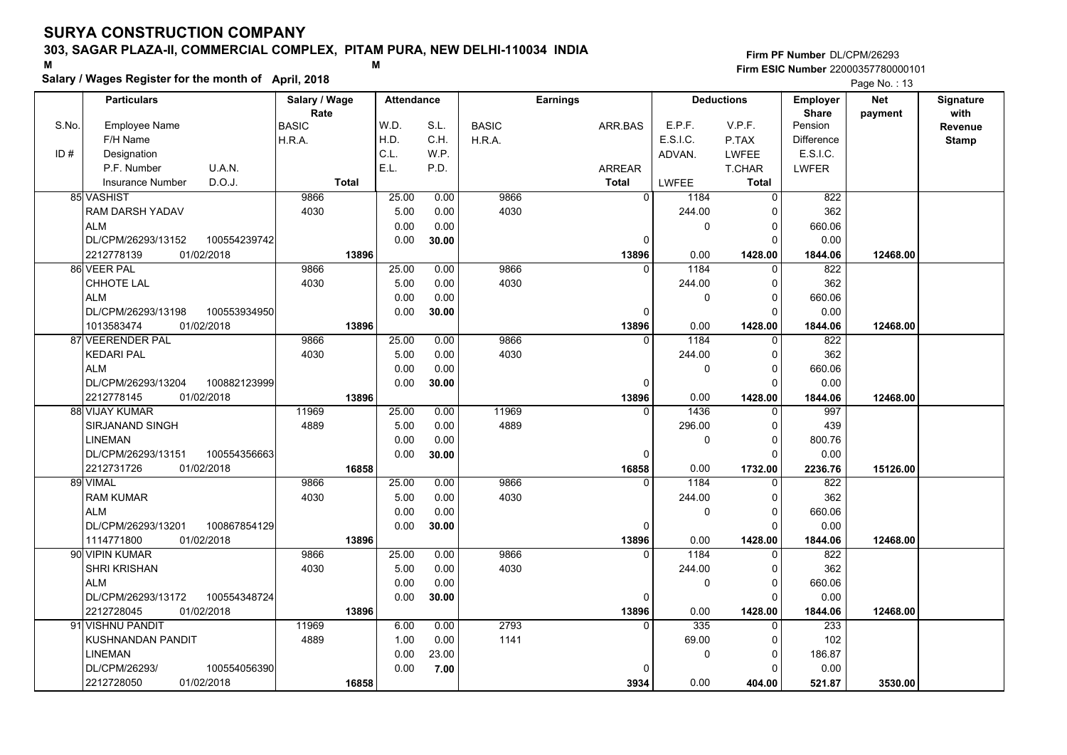### **303, SAGAR PLAZA-II, COMMERCIAL COMPLEX, PITAM PURA, NEW DELHI-110034 INDIA**

4030

 119694889

 5.00 0.000.00

 6.00 1.00 0.000.00

 0.00 0.00**30.00**

 0.00 0.00 23.00 **7.00**

S.No.

ID #

ALM

ALM

ALM

<sup>89</sup> VIMAL

ALM

ALM

SHRI KRISHAN

<sup>91</sup> VISHNU PANDIT

LINEMANDL/CPM/26293/

DL/CPM/26293/13172

KUSHNANDAN PANDIT

01/02/2018 2212728045 **13896**

100554348724

2212728050 **16858**

100554056390

**Firm PF Number**DL/CPM/26293**Firm ESIC Number** 22000357780000101

**Salary / Wages Register for the month of April, 2018 <sup>M</sup> <sup>M</sup> BASIC**  H.R.A.ARR.BASARREAR**Total**Employee NameF/H Name Designation P.F. NumberInsurance Number**Salary / Wage RateAttendance Earnings BASIC**  H.R.A.**Total**ADVAN.P.TAX LWFEE T.CHAR **Total**LWFEE <sup>1184</sup> <sup>0</sup> E.P.F. V.P.F. E.S.I.C.Pension DifferenceLWFER**Deductions Employer Share**W.D.H.D.C.L.E.L.S.L.C.H.W.P.P.D.**Net paymentSignaturewith Revenue StampParticulars**Page No. : 13D.O.J.U.A.N.E.S.I.C. 9866 4030 $\overline{0}$  $\Omega$   **13896** $\overline{0}$  9866 4030 244.00 $\overline{0}$  $\Omega$  $\overline{\phantom{0}}$  $\overline{\phantom{0}}$ 1428.00 0.00 **1428.00 12468.00** 822 362 660.06 0.00 1844.06 85 VASHIST RAM DARSH YADAV DL/CPM/26293/13152 2212778139 **13896**25.00 5.00 0.00 0.00 0.00 0.00 0.00 **30.00**01/02/2018 **1844.06** 822100554239742 9866 4030 $\Omega$   **13896** $\overline{0}$  9866 4030 $1184$  0 244.00 $\overline{0}$  0 $\overline{\phantom{0}}$  $\overline{\phantom{0}}$ 1428.00 0.00 **1428.00 12468.00** 362 660.06 0.00 1844.06 86 VEER PAL CHHOTE LAL DL/CPM/26293/1319801/02/2018 1013583474 **13896** $25.00$  5.00 0.00 0.00 0.00 0.00 0.00 **30.00**01/02/2018 **1844.06** 822100553934950 9866 4030 $\Omega$   **13896** $\overline{0}$  9866 4030 $1184$  0 244.00 $\overline{0}$  0 $\overline{\phantom{0}}$  $\overline{0}$ 1428.00 0.00 **1428.00 12468.00** 362 660.06 0.00 1844.06 <sup>87</sup> VEERENDER PAL KEDARI PAL DL/CPM/26293/1320401/02/2018 2212778145 **13896**25.00 5.00 0.00 0.00 $0.00$  0.00 0.00 **30.00**01/02/2018 **1844.06** 997100882123999 11969 4889 0  **16858** $\overline{0}$  11969 4889<sup>1436</sup> <sup>0</sup> 296.00 $\overline{0}$  $\Omega$  $\overline{\phantom{0}}$  $\overline{0}$ 1732.00 0.00 **1732.00 15126.00** 439 800.76 0.00 2236.76 <sup>88</sup> VIJAY KUMAR SIRJANAND SINGH LINEMAN DL/CPM/26293/1315101/02/2018 2212731726 **16858**25.00 5.00 0.00 0.00 0.00 0.00 0.00 **30.00**01/02/2018 **2236.76** 822100554356663 9866 4030 $\Omega$   **13896** $\overline{0}$  9866 40301184 0 244.00 $\overline{0}$  $\Omega$  $\overline{\phantom{0}}$  $\overline{0}$ 1428.00 0.00 **1428.00 12468.00** 362 660.06 0.00 1844.06 RAM KUMAR DL/CPM/26293/1320101/02/2018 1114771800 01/02/2018 **13896** 25.00 5.00 0.00 0.00 0.00 0.00 0.00 **30.00**01/02/2018 **1844.06** 822100867854129 9866 98661184 <sup>90</sup> VIPIN KUMAR 25.00 $0.00$ 

4030

01/02/2018 **1844.06**

 27931141

01/02/2018 **521.87**

 $\Omega$   **13896** $\overline{\phantom{0}}$ 

 $\Omega$  **3934**  244.00 $\overline{0}$ 

<sup>335</sup> <sup>0</sup> 69.00 $\overline{0}$ 

 $\mathfrak{c}$  $\overline{\phantom{0}}$  $\overline{0}$ 1428.00

> $\Omega$  $\overline{0}$  $\overline{0}$ 404.00

0.00 **1428.00 12468.00**

0.00 **404.00 3530.00**

 362 660.06 0.00 1844.06

233

 102 186.87 0.00521.87